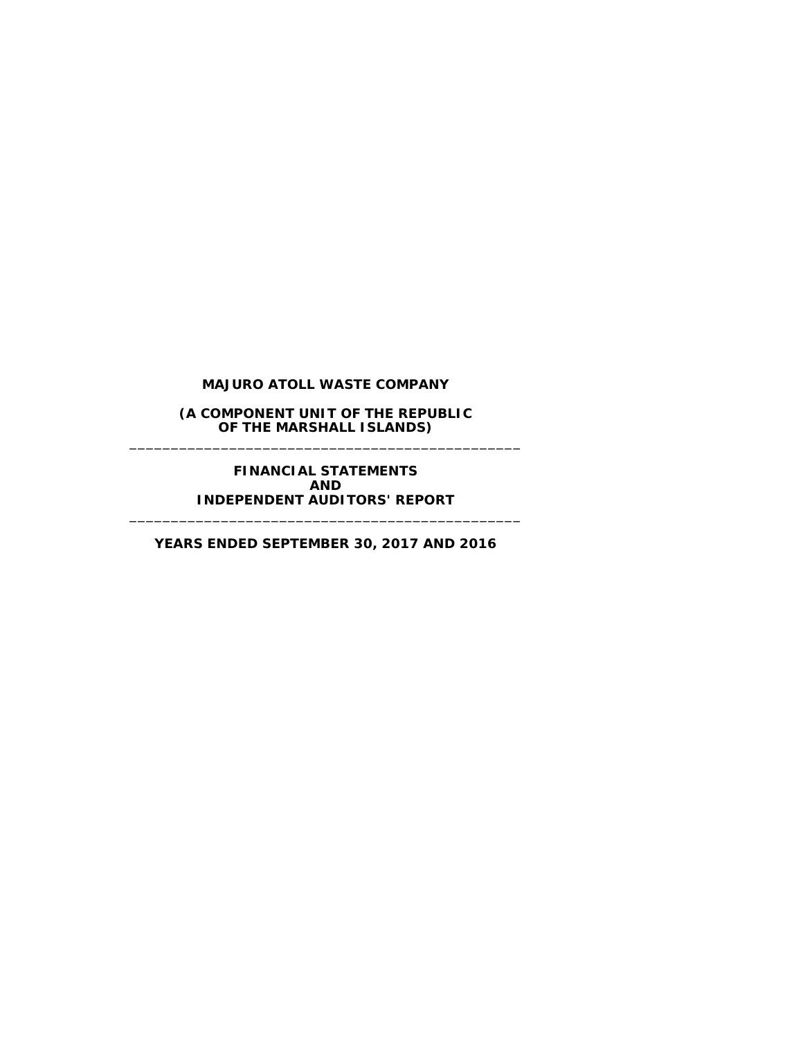#### **MAJURO ATOLL WASTE COMPANY**

**(A COMPONENT UNIT OF THE REPUBLIC OF THE MARSHALL ISLANDS)** \_\_\_\_\_\_\_\_\_\_\_\_\_\_\_\_\_\_\_\_\_\_\_\_\_\_\_\_\_\_\_\_\_\_\_\_\_\_\_\_\_\_\_\_\_\_\_

> **FINANCIAL STATEMENTS AND INDEPENDENT AUDITORS' REPORT**

**YEARS ENDED SEPTEMBER 30, 2017 AND 2016**

\_\_\_\_\_\_\_\_\_\_\_\_\_\_\_\_\_\_\_\_\_\_\_\_\_\_\_\_\_\_\_\_\_\_\_\_\_\_\_\_\_\_\_\_\_\_\_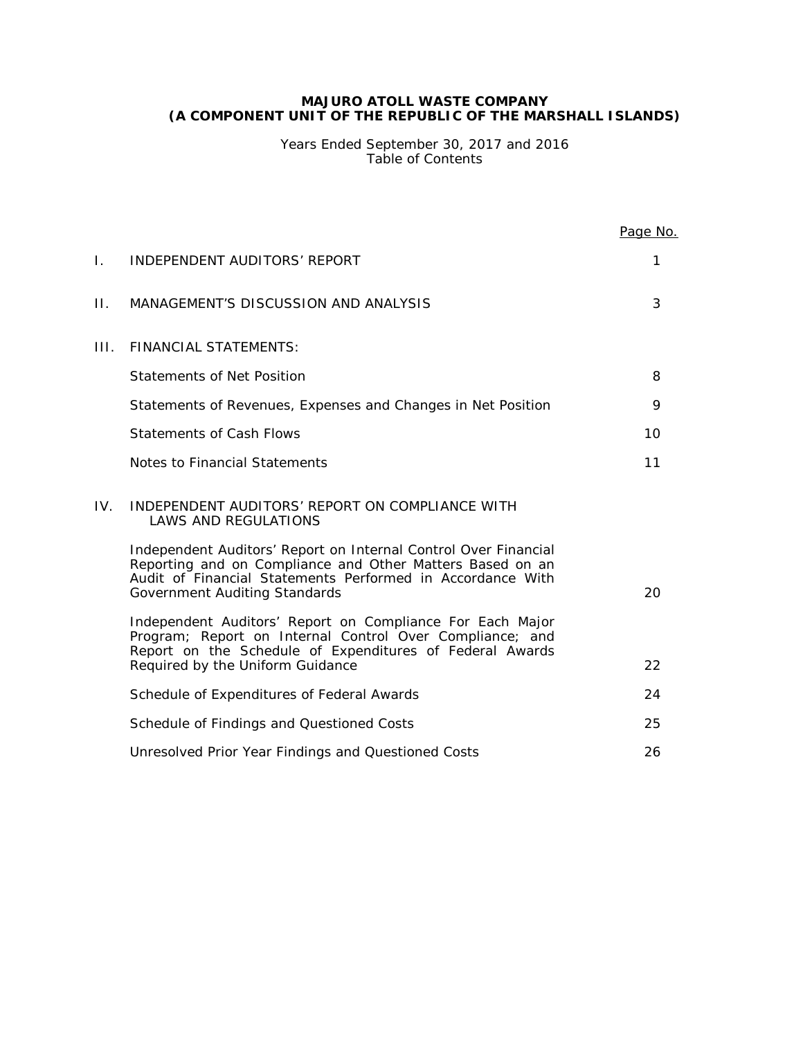Years Ended September 30, 2017 and 2016 Table of Contents

|      |                                                                                                                                                                                                                                    | Page No. |
|------|------------------------------------------------------------------------------------------------------------------------------------------------------------------------------------------------------------------------------------|----------|
| ١.   | INDEPENDENT AUDITORS' REPORT                                                                                                                                                                                                       | 1        |
| Н.   | MANAGEMENT'S DISCUSSION AND ANALYSIS                                                                                                                                                                                               | 3        |
| III. | <b>FINANCIAL STATEMENTS:</b>                                                                                                                                                                                                       |          |
|      | Statements of Net Position                                                                                                                                                                                                         | 8        |
|      | Statements of Revenues, Expenses and Changes in Net Position                                                                                                                                                                       | 9        |
|      | <b>Statements of Cash Flows</b>                                                                                                                                                                                                    | 10       |
|      | Notes to Financial Statements                                                                                                                                                                                                      | 11       |
| IV.  | INDEPENDENT AUDITORS' REPORT ON COMPLIANCE WITH<br>LAWS AND REGULATIONS                                                                                                                                                            |          |
|      | Independent Auditors' Report on Internal Control Over Financial<br>Reporting and on Compliance and Other Matters Based on an<br>Audit of Financial Statements Performed in Accordance With<br><b>Government Auditing Standards</b> | 20       |
|      | Independent Auditors' Report on Compliance For Each Major<br>Program; Report on Internal Control Over Compliance; and<br>Report on the Schedule of Expenditures of Federal Awards<br>Required by the Uniform Guidance              | 22       |
|      | Schedule of Expenditures of Federal Awards                                                                                                                                                                                         | 24       |
|      | Schedule of Findings and Questioned Costs                                                                                                                                                                                          | 25       |
|      | Unresolved Prior Year Findings and Questioned Costs                                                                                                                                                                                | 26       |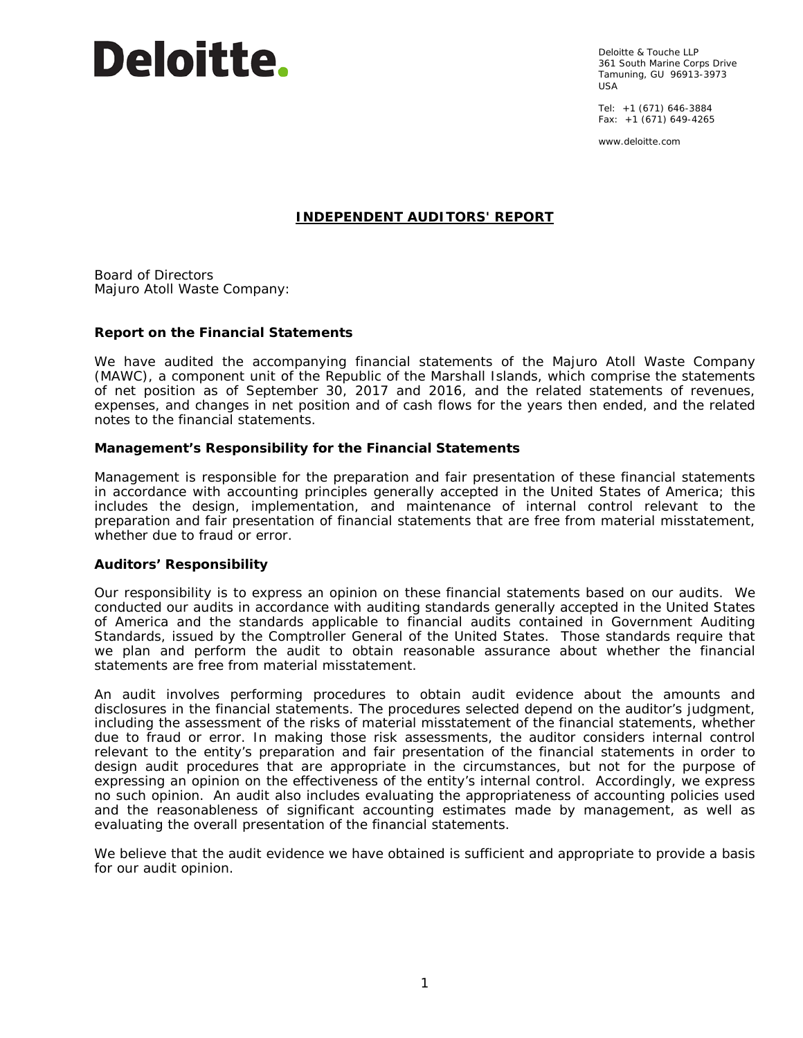

Deloitte & Touche LLP 361 South Marine Corps Drive Tamuning, GU 96913-3973 USA

Tel: +1 (671) 646-3884 Fax: +1 (671) 649-4265

www.deloitte.com

# **INDEPENDENT AUDITORS' REPORT**

Board of Directors Majuro Atoll Waste Company:

# **Report on the Financial Statements**

We have audited the accompanying financial statements of the Majuro Atoll Waste Company (MAWC), a component unit of the Republic of the Marshall Islands, which comprise the statements of net position as of September 30, 2017 and 2016, and the related statements of revenues, expenses, and changes in net position and of cash flows for the years then ended, and the related notes to the financial statements.

# *Management's Responsibility for the Financial Statements*

Management is responsible for the preparation and fair presentation of these financial statements in accordance with accounting principles generally accepted in the United States of America; this includes the design, implementation, and maintenance of internal control relevant to the preparation and fair presentation of financial statements that are free from material misstatement, whether due to fraud or error.

### *Auditors' Responsibility*

Our responsibility is to express an opinion on these financial statements based on our audits. We conducted our audits in accordance with auditing standards generally accepted in the United States of America and the standards applicable to financial audits contained in *Government Auditing Standards,* issued by the Comptroller General of the United States. Those standards require that we plan and perform the audit to obtain reasonable assurance about whether the financial statements are free from material misstatement.

An audit involves performing procedures to obtain audit evidence about the amounts and disclosures in the financial statements. The procedures selected depend on the auditor's judgment, including the assessment of the risks of material misstatement of the financial statements, whether due to fraud or error. In making those risk assessments, the auditor considers internal control relevant to the entity's preparation and fair presentation of the financial statements in order to design audit procedures that are appropriate in the circumstances, but not for the purpose of expressing an opinion on the effectiveness of the entity's internal control. Accordingly, we express no such opinion. An audit also includes evaluating the appropriateness of accounting policies used and the reasonableness of significant accounting estimates made by management, as well as evaluating the overall presentation of the financial statements.

We believe that the audit evidence we have obtained is sufficient and appropriate to provide a basis for our audit opinion.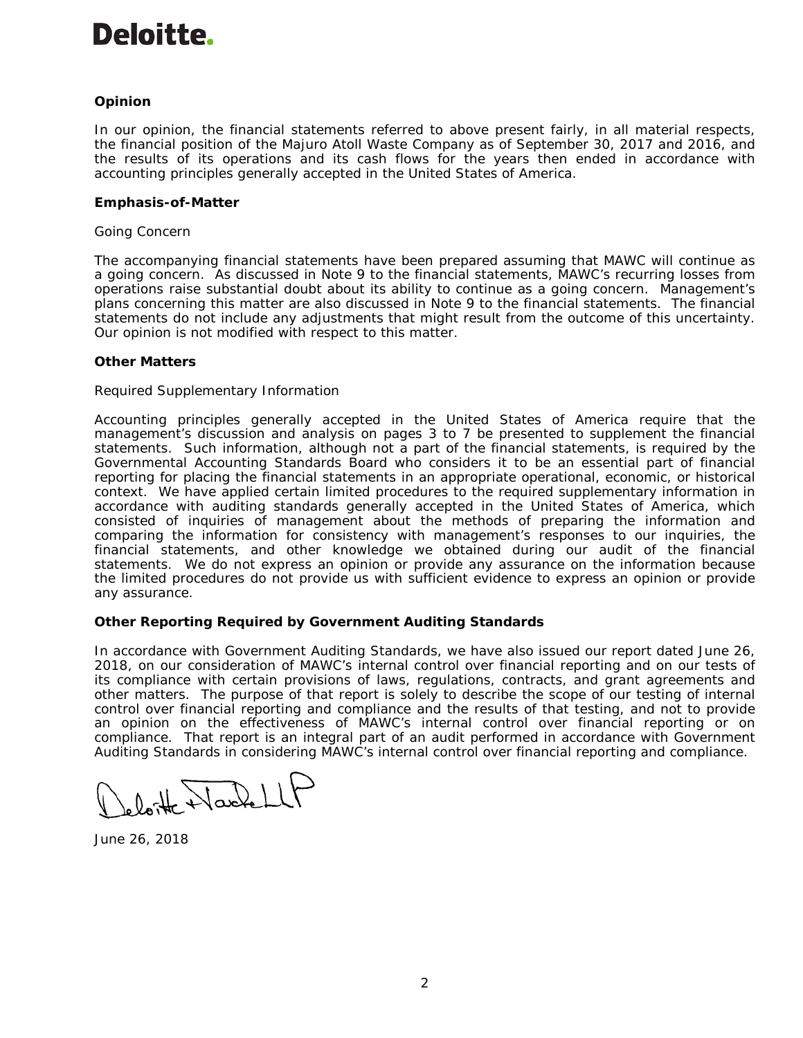# **Deloitte**

# *Opinion*

In our opinion, the financial statements referred to above present fairly, in all material respects, the financial position of the Majuro Atoll Waste Company as of September 30, 2017 and 2016, and the results of its operations and its cash flows for the years then ended in accordance with accounting principles generally accepted in the United States of America.

# **Emphasis-of-Matter**

## *Going Concern*

The accompanying financial statements have been prepared assuming that MAWC will continue as a going concern. As discussed in Note 9 to the financial statements, MAWC's recurring losses from operations raise substantial doubt about its ability to continue as a going concern. Management's plans concerning this matter are also discussed in Note 9 to the financial statements. The financial statements do not include any adjustments that might result from the outcome of this uncertainty. Our opinion is not modified with respect to this matter.

# *Other Matters*

### *Required Supplementary Information*

Accounting principles generally accepted in the United States of America require that the management's discussion and analysis on pages 3 to 7 be presented to supplement the financial statements. Such information, although not a part of the financial statements, is required by the Governmental Accounting Standards Board who considers it to be an essential part of financial reporting for placing the financial statements in an appropriate operational, economic, or historical context. We have applied certain limited procedures to the required supplementary information in accordance with auditing standards generally accepted in the United States of America, which consisted of inquiries of management about the methods of preparing the information and comparing the information for consistency with management's responses to our inquiries, the financial statements, and other knowledge we obtained during our audit of the financial statements. We do not express an opinion or provide any assurance on the information because the limited procedures do not provide us with sufficient evidence to express an opinion or provide any assurance.

### **Other Reporting Required by** *Government Auditing Standards*

In accordance with *Government Auditing Standards*, we have also issued our report dated June 26, 2018, on our consideration of MAWC's internal control over financial reporting and on our tests of its compliance with certain provisions of laws, regulations, contracts, and grant agreements and other matters. The purpose of that report is solely to describe the scope of our testing of internal control over financial reporting and compliance and the results of that testing, and not to provide an opinion on the effectiveness of MAWC's internal control over financial reporting or on compliance. That report is an integral part of an audit performed in accordance with *Government Auditing Standards* in considering MAWC's internal control over financial reporting and compliance.

loite Harlell

June 26, 2018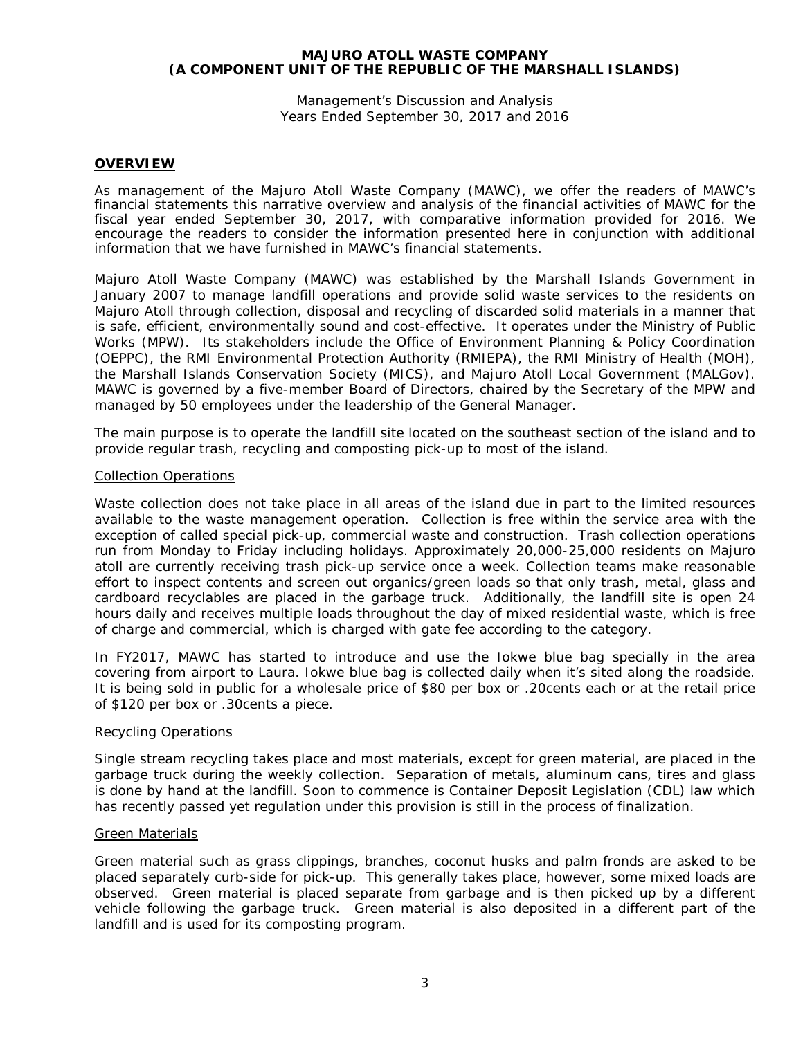Management's Discussion and Analysis Years Ended September 30, 2017 and 2016

#### **OVERVIEW**

As management of the Majuro Atoll Waste Company (MAWC), we offer the readers of MAWC's financial statements this narrative overview and analysis of the financial activities of MAWC for the fiscal year ended September 30, 2017, with comparative information provided for 2016. We encourage the readers to consider the information presented here in conjunction with additional information that we have furnished in MAWC's financial statements.

Majuro Atoll Waste Company (MAWC) was established by the Marshall Islands Government in January 2007 to manage landfill operations and provide solid waste services to the residents on Majuro Atoll through collection, disposal and recycling of discarded solid materials in a manner that is safe, efficient, environmentally sound and cost-effective. It operates under the Ministry of Public Works (MPW). Its stakeholders include the Office of Environment Planning & Policy Coordination (OEPPC), the RMI Environmental Protection Authority (RMIEPA), the RMI Ministry of Health (MOH), the Marshall Islands Conservation Society (MICS), and Majuro Atoll Local Government (MALGov). MAWC is governed by a five-member Board of Directors, chaired by the Secretary of the MPW and managed by 50 employees under the leadership of the General Manager.

The main purpose is to operate the landfill site located on the southeast section of the island and to provide regular trash, recycling and composting pick-up to most of the island.

#### Collection Operations

Waste collection does not take place in all areas of the island due in part to the limited resources available to the waste management operation. Collection is free within the service area with the exception of called special pick-up, commercial waste and construction. Trash collection operations run from Monday to Friday including holidays. Approximately 20,000-25,000 residents on Majuro atoll are currently receiving trash pick-up service once a week. Collection teams make reasonable effort to inspect contents and screen out organics/green loads so that only trash, metal, glass and cardboard recyclables are placed in the garbage truck. Additionally, the landfill site is open 24 hours daily and receives multiple loads throughout the day of mixed residential waste, which is free of charge and commercial, which is charged with gate fee according to the category.

In FY2017, MAWC has started to introduce and use the Iokwe blue bag specially in the area covering from airport to Laura. Iokwe blue bag is collected daily when it's sited along the roadside. It is being sold in public for a wholesale price of \$80 per box or .20cents each or at the retail price of \$120 per box or .30cents a piece.

### Recycling Operations

Single stream recycling takes place and most materials, except for green material, are placed in the garbage truck during the weekly collection. Separation of metals, aluminum cans, tires and glass is done by hand at the landfill. Soon to commence is Container Deposit Legislation (CDL) law which has recently passed yet regulation under this provision is still in the process of finalization.

#### Green Materials

Green material such as grass clippings, branches, coconut husks and palm fronds are asked to be placed separately curb-side for pick-up. This generally takes place, however, some mixed loads are observed. Green material is placed separate from garbage and is then picked up by a different vehicle following the garbage truck. Green material is also deposited in a different part of the landfill and is used for its composting program.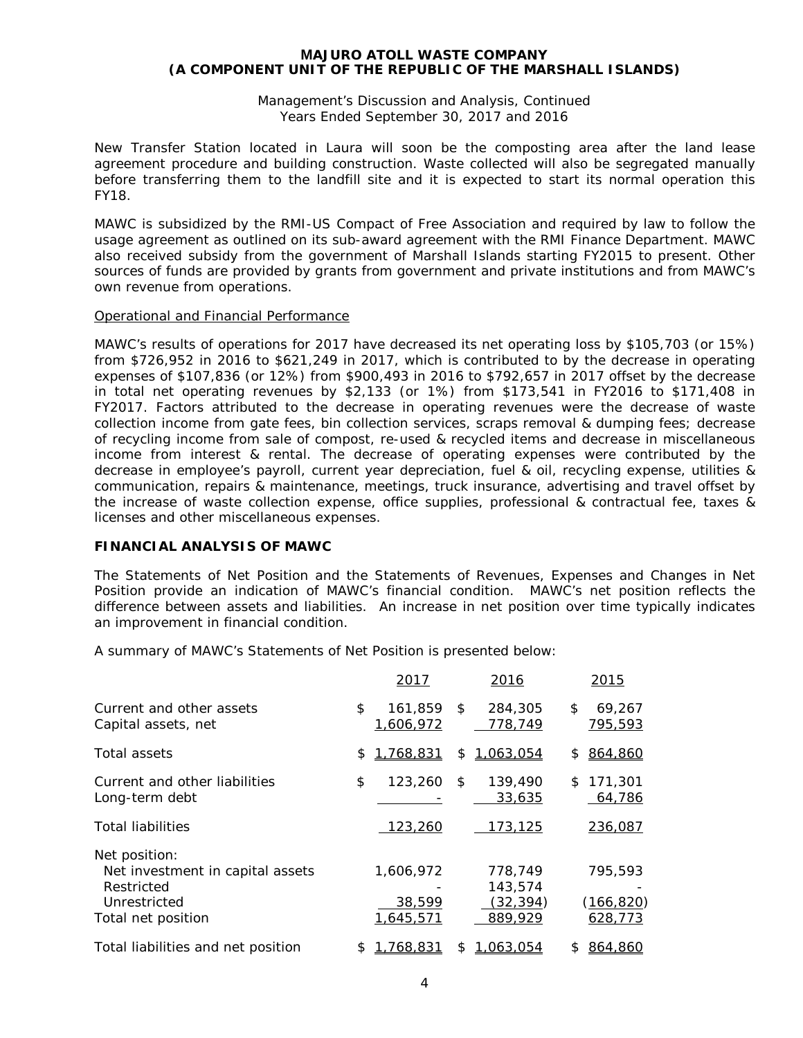Management's Discussion and Analysis, Continued Years Ended September 30, 2017 and 2016

New Transfer Station located in Laura will soon be the composting area after the land lease agreement procedure and building construction. Waste collected will also be segregated manually before transferring them to the landfill site and it is expected to start its normal operation this FY18.

MAWC is subsidized by the RMI-US Compact of Free Association and required by law to follow the usage agreement as outlined on its sub-award agreement with the RMI Finance Department. MAWC also received subsidy from the government of Marshall Islands starting FY2015 to present. Other sources of funds are provided by grants from government and private institutions and from MAWC's own revenue from operations.

### Operational and Financial Performance

MAWC's results of operations for 2017 have decreased its net operating loss by \$105,703 (or 15%) from \$726,952 in 2016 to \$621,249 in 2017, which is contributed to by the decrease in operating expenses of \$107,836 (or 12%) from \$900,493 in 2016 to \$792,657 in 2017 offset by the decrease in total net operating revenues by \$2,133 (or 1%) from \$173,541 in FY2016 to \$171,408 in FY2017. Factors attributed to the decrease in operating revenues were the decrease of waste collection income from gate fees, bin collection services, scraps removal & dumping fees; decrease of recycling income from sale of compost, re-used & recycled items and decrease in miscellaneous income from interest & rental. The decrease of operating expenses were contributed by the decrease in employee's payroll, current year depreciation, fuel & oil, recycling expense, utilities & communication, repairs & maintenance, meetings, truck insurance, advertising and travel offset by the increase of waste collection expense, office supplies, professional & contractual fee, taxes & licenses and other miscellaneous expenses.

### **FINANCIAL ANALYSIS OF MAWC**

The Statements of Net Position and the Statements of Revenues, Expenses and Changes in Net Position provide an indication of MAWC's financial condition. MAWC's net position reflects the difference between assets and liabilities. An increase in net position over time typically indicates an improvement in financial condition.

A summary of MAWC's Statements of Net Position is presented below:

|                                                                                                       | 2017                             | 2016                                       | 2015                                   |
|-------------------------------------------------------------------------------------------------------|----------------------------------|--------------------------------------------|----------------------------------------|
| Current and other assets<br>Capital assets, net                                                       | \$<br>161,859<br>1,606,972       | 284,305<br>$\mathfrak{L}$<br>778,749       | \$<br>69,267<br>795,593                |
| Total assets                                                                                          | \$<br>1,768,831                  | 1,063,054<br>\$                            | 864,860<br>S                           |
| Current and other liabilities<br>Long-term debt                                                       | \$<br>123,260                    | 139,490<br>\$<br>33,635                    | 171,301<br>\$<br>64,786                |
| Total liabilities                                                                                     | 123,260                          | 173,125                                    | 236,087                                |
| Net position:<br>Net investment in capital assets<br>Restricted<br>Unrestricted<br>Total net position | 1,606,972<br>38,599<br>1,645,571 | 778,749<br>143,574<br>(32, 394)<br>889,929 | 795,593<br><u>(166,820)</u><br>628,773 |
| Total liabilities and net position                                                                    | \$<br>,768,831                   | 1.063.054<br>S                             | 864,860                                |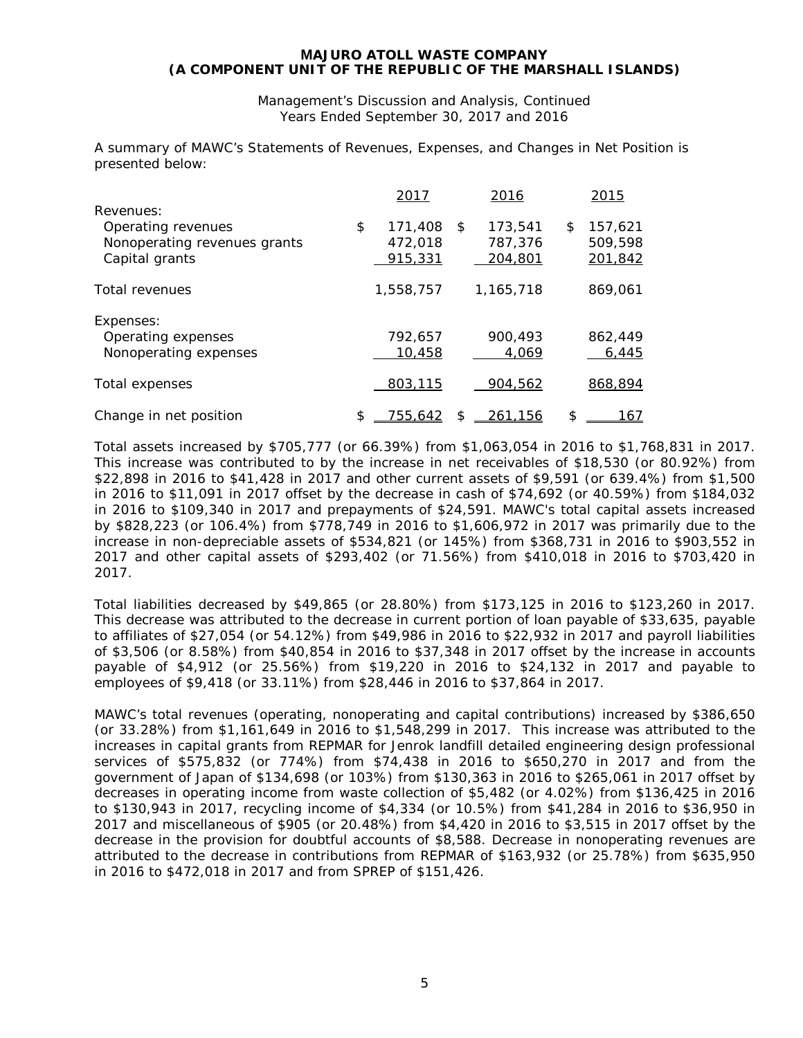Management's Discussion and Analysis, Continued Years Ended September 30, 2017 and 2016

A summary of MAWC's Statements of Revenues, Expenses, and Changes in Net Position is presented below:

|                              | 2017          | 2016          | 2015          |
|------------------------------|---------------|---------------|---------------|
| Revenues:                    |               |               |               |
| Operating revenues           | \$<br>171,408 | \$<br>173,541 | \$<br>157,621 |
| Nonoperating revenues grants | 472,018       | 787,376       | 509,598       |
| Capital grants               | 915,331       | 204,801       | 201,842       |
| Total revenues               | 1,558,757     | 1,165,718     | 869,061       |
| Expenses:                    |               |               |               |
| Operating expenses           | 792,657       | 900,493       | 862,449       |
| Nonoperating expenses        | 10,458        | 4,069         | 6,445         |
| Total expenses               | 803,115       | 904,562       | 868,894       |
| Change in net position       | \$<br>755,642 | \$<br>261,156 | \$<br>167     |

Total assets increased by \$705,777 (or 66.39%) from \$1,063,054 in 2016 to \$1,768,831 in 2017. This increase was contributed to by the increase in net receivables of \$18,530 (or 80.92%) from \$22,898 in 2016 to \$41,428 in 2017 and other current assets of \$9,591 (or 639.4%) from \$1,500 in 2016 to \$11,091 in 2017 offset by the decrease in cash of \$74,692 (or 40.59%) from \$184,032 in 2016 to \$109,340 in 2017 and prepayments of \$24,591. MAWC's total capital assets increased by \$828,223 (or 106.4%) from \$778,749 in 2016 to \$1,606,972 in 2017 was primarily due to the increase in non-depreciable assets of \$534,821 (or 145%) from \$368,731 in 2016 to \$903,552 in 2017 and other capital assets of \$293,402 (or 71.56%) from \$410,018 in 2016 to \$703,420 in 2017.

Total liabilities decreased by \$49,865 (or 28.80%) from \$173,125 in 2016 to \$123,260 in 2017. This decrease was attributed to the decrease in current portion of loan payable of \$33,635, payable to affiliates of \$27,054 (or 54.12%) from \$49,986 in 2016 to \$22,932 in 2017 and payroll liabilities of \$3,506 (or 8.58%) from \$40,854 in 2016 to \$37,348 in 2017 offset by the increase in accounts payable of \$4,912 (or 25.56%) from \$19,220 in 2016 to \$24,132 in 2017 and payable to employees of \$9,418 (or 33.11%) from \$28,446 in 2016 to \$37,864 in 2017.

MAWC's total revenues (operating, nonoperating and capital contributions) increased by \$386,650 (or 33.28%) from \$1,161,649 in 2016 to \$1,548,299 in 2017. This increase was attributed to the increases in capital grants from REPMAR for Jenrok landfill detailed engineering design professional services of \$575,832 (or 774%) from \$74,438 in 2016 to \$650,270 in 2017 and from the government of Japan of \$134,698 (or 103%) from \$130,363 in 2016 to \$265,061 in 2017 offset by decreases in operating income from waste collection of \$5,482 (or 4.02%) from \$136,425 in 2016 to \$130,943 in 2017, recycling income of \$4,334 (or 10.5%) from \$41,284 in 2016 to \$36,950 in 2017 and miscellaneous of \$905 (or 20.48%) from \$4,420 in 2016 to \$3,515 in 2017 offset by the decrease in the provision for doubtful accounts of \$8,588. Decrease in nonoperating revenues are attributed to the decrease in contributions from REPMAR of \$163,932 (or 25.78%) from \$635,950 in 2016 to \$472,018 in 2017 and from SPREP of \$151,426.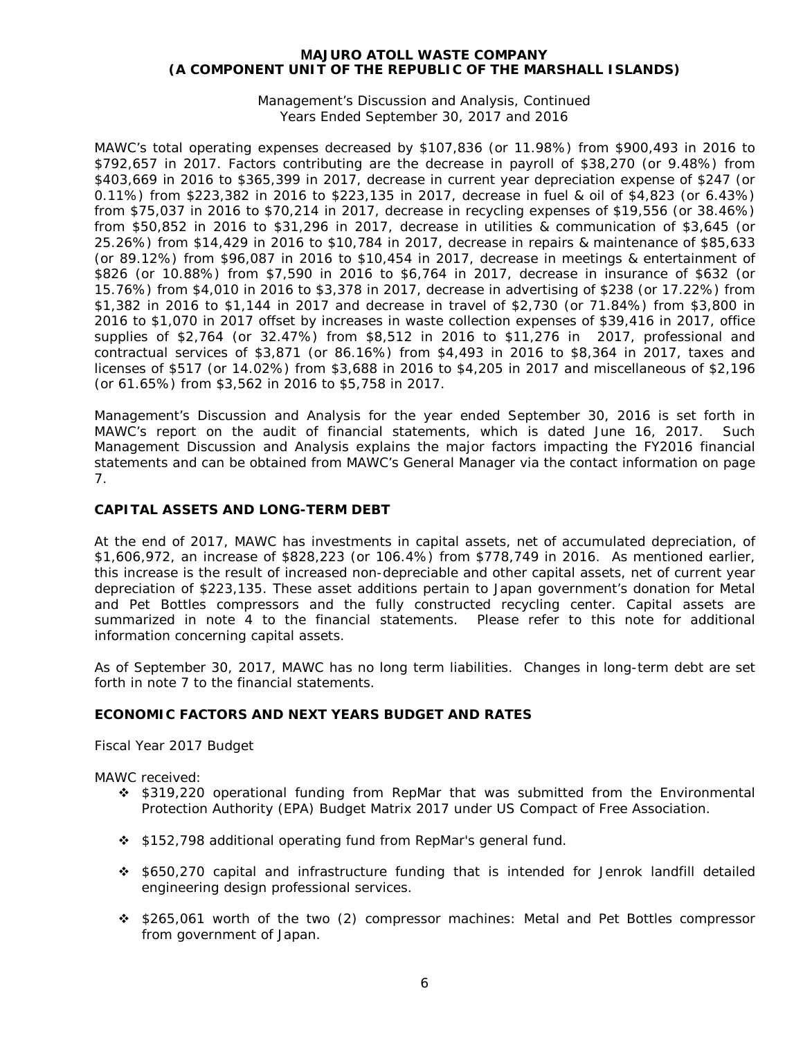Management's Discussion and Analysis, Continued Years Ended September 30, 2017 and 2016

MAWC's total operating expenses decreased by \$107,836 (or 11.98%) from \$900,493 in 2016 to \$792,657 in 2017. Factors contributing are the decrease in payroll of \$38,270 (or 9.48%) from \$403,669 in 2016 to \$365,399 in 2017, decrease in current year depreciation expense of \$247 (or 0.11%) from \$223,382 in 2016 to \$223,135 in 2017, decrease in fuel & oil of \$4,823 (or 6.43%) from \$75,037 in 2016 to \$70,214 in 2017, decrease in recycling expenses of \$19,556 (or 38.46%) from \$50,852 in 2016 to \$31,296 in 2017, decrease in utilities & communication of \$3,645 (or 25.26%) from \$14,429 in 2016 to \$10,784 in 2017, decrease in repairs & maintenance of \$85,633 (or 89.12%) from \$96,087 in 2016 to \$10,454 in 2017, decrease in meetings & entertainment of \$826 (or 10.88%) from \$7,590 in 2016 to \$6,764 in 2017, decrease in insurance of \$632 (or 15.76%) from \$4,010 in 2016 to \$3,378 in 2017, decrease in advertising of \$238 (or 17.22%) from \$1,382 in 2016 to \$1,144 in 2017 and decrease in travel of \$2,730 (or 71.84%) from \$3,800 in 2016 to \$1,070 in 2017 offset by increases in waste collection expenses of \$39,416 in 2017, office supplies of \$2,764 (or 32.47%) from \$8,512 in 2016 to \$11,276 in 2017, professional and contractual services of \$3,871 (or 86.16%) from \$4,493 in 2016 to \$8,364 in 2017, taxes and licenses of \$517 (or 14.02%) from \$3,688 in 2016 to \$4,205 in 2017 and miscellaneous of \$2,196 (or 61.65%) from \$3,562 in 2016 to \$5,758 in 2017.

Management's Discussion and Analysis for the year ended September 30, 2016 is set forth in MAWC's report on the audit of financial statements, which is dated June 16, 2017. Such Management Discussion and Analysis explains the major factors impacting the FY2016 financial statements and can be obtained from MAWC's General Manager via the contact information on page 7.

# **CAPITAL ASSETS AND LONG-TERM DEBT**

At the end of 2017, MAWC has investments in capital assets, net of accumulated depreciation, of \$1,606,972, an increase of \$828,223 (or 106.4%) from \$778,749 in 2016. As mentioned earlier, this increase is the result of increased non-depreciable and other capital assets, net of current year depreciation of \$223,135. These asset additions pertain to Japan government's donation for Metal and Pet Bottles compressors and the fully constructed recycling center. Capital assets are summarized in note 4 to the financial statements. Please refer to this note for additional information concerning capital assets.

As of September 30, 2017, MAWC has no long term liabilities. Changes in long-term debt are set forth in note 7 to the financial statements.

## **ECONOMIC FACTORS AND NEXT YEARS BUDGET AND RATES**

Fiscal Year 2017 Budget

MAWC received:

- \$319,220 operational funding from RepMar that was submitted from the Environmental Protection Authority (EPA) Budget Matrix 2017 under US Compact of Free Association.
- $\div$  \$152,798 additional operating fund from RepMar's general fund.
- \$650,270 capital and infrastructure funding that is intended for Jenrok landfill detailed engineering design professional services.
- $\div$  \$265,061 worth of the two (2) compressor machines: Metal and Pet Bottles compressor from government of Japan.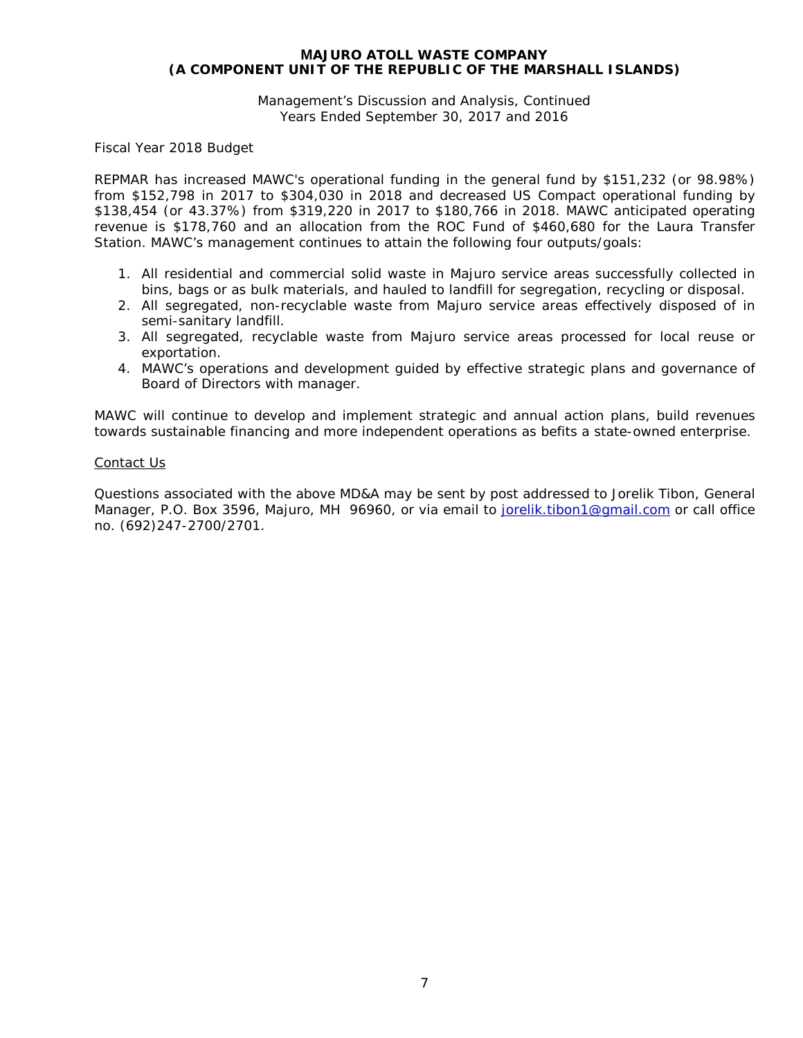Management's Discussion and Analysis, Continued Years Ended September 30, 2017 and 2016

Fiscal Year 2018 Budget

REPMAR has increased MAWC's operational funding in the general fund by \$151,232 (or 98.98%) from \$152,798 in 2017 to \$304,030 in 2018 and decreased US Compact operational funding by \$138,454 (or 43.37%) from \$319,220 in 2017 to \$180,766 in 2018. MAWC anticipated operating revenue is \$178,760 and an allocation from the ROC Fund of \$460,680 for the Laura Transfer Station. MAWC's management continues to attain the following four outputs/goals:

- 1. All residential and commercial solid waste in Majuro service areas successfully collected in bins, bags or as bulk materials, and hauled to landfill for segregation, recycling or disposal.
- 2. All segregated, non-recyclable waste from Majuro service areas effectively disposed of in semi-sanitary landfill.
- 3. All segregated, recyclable waste from Majuro service areas processed for local reuse or exportation.
- 4. MAWC's operations and development guided by effective strategic plans and governance of Board of Directors with manager.

MAWC will continue to develop and implement strategic and annual action plans, build revenues towards sustainable financing and more independent operations as befits a state-owned enterprise.

# Contact Us

Questions associated with the above MD&A may be sent by post addressed to Jorelik Tibon, General Manager, P.O. Box 3596, Majuro, MH 96960, or via email to [jorelik.tibon1@gmail.com](mailto:jorelik.tibon1@gmail.com) or call office no. (692)247-2700/2701.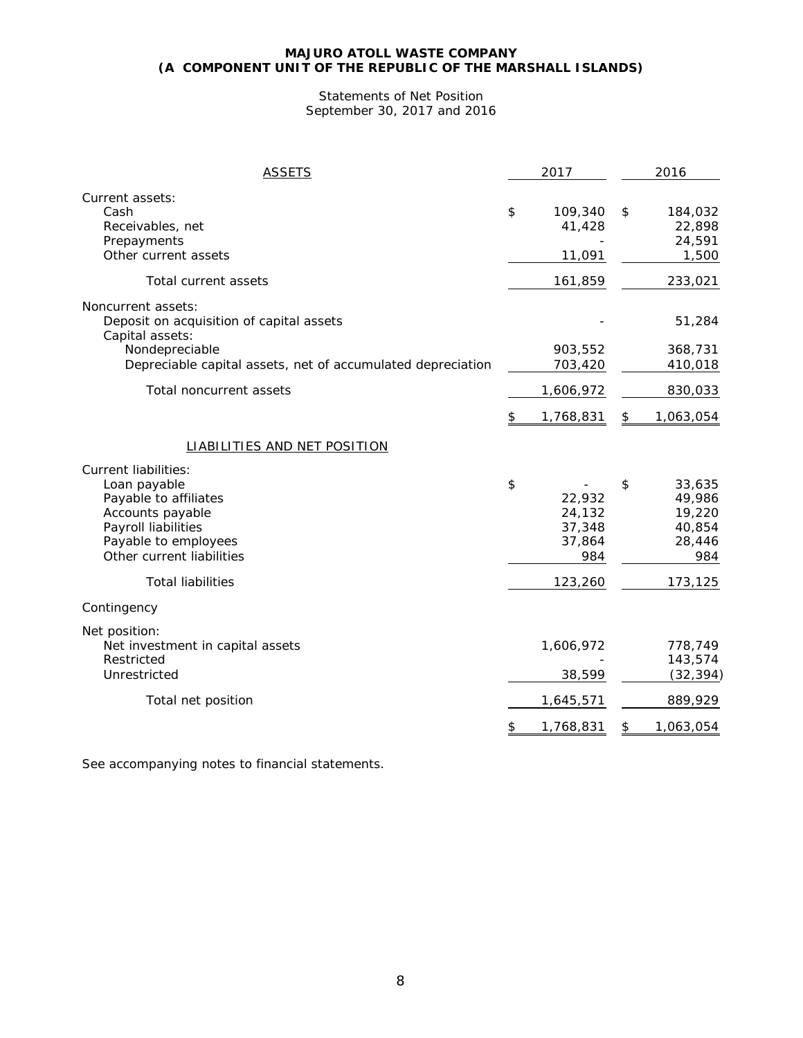# Statements of Net Position September 30, 2017 and 2016

| <b>ASSETS</b>                                                                                                                                                                                    |                          | 2017                                                   | 2016                                                                   |
|--------------------------------------------------------------------------------------------------------------------------------------------------------------------------------------------------|--------------------------|--------------------------------------------------------|------------------------------------------------------------------------|
| Current assets:<br>Cash<br>Receivables, net<br>Prepayments<br>Other current assets                                                                                                               | \$                       | 109,340<br>41,428<br>11,091                            | \$<br>184,032<br>22,898<br>24,591<br>1,500                             |
| Total current assets                                                                                                                                                                             |                          | 161,859                                                | 233,021                                                                |
| Noncurrent assets:<br>Deposit on acquisition of capital assets<br>Capital assets:                                                                                                                |                          |                                                        | 51,284                                                                 |
| Nondepreciable<br>Depreciable capital assets, net of accumulated depreciation                                                                                                                    |                          | 903,552<br>703,420                                     | 368,731<br>410,018                                                     |
| Total noncurrent assets                                                                                                                                                                          |                          | 1,606,972                                              | 830,033                                                                |
|                                                                                                                                                                                                  | $\overline{\mathcal{L}}$ | 1,768,831                                              | \$<br>1,063,054                                                        |
| <b>LIABILITIES AND NET POSITION</b>                                                                                                                                                              |                          |                                                        |                                                                        |
| <b>Current liabilities:</b><br>Loan payable<br>Payable to affiliates<br>Accounts payable<br>Payroll liabilities<br>Payable to employees<br>Other current liabilities<br><b>Total liabilities</b> | \$                       | 22,932<br>24,132<br>37,348<br>37,864<br>984<br>123,260 | \$<br>33,635<br>49,986<br>19,220<br>40,854<br>28,446<br>984<br>173,125 |
| Contingency                                                                                                                                                                                      |                          |                                                        |                                                                        |
| Net position:<br>Net investment in capital assets<br>Restricted<br>Unrestricted<br>Total net position                                                                                            |                          | 1,606,972<br>38,599<br>1,645,571                       | 778,749<br>143,574<br>(32, 394)<br>889,929                             |
|                                                                                                                                                                                                  | \$                       | 1,768,831                                              | \$<br>1,063,054                                                        |

See accompanying notes to financial statements.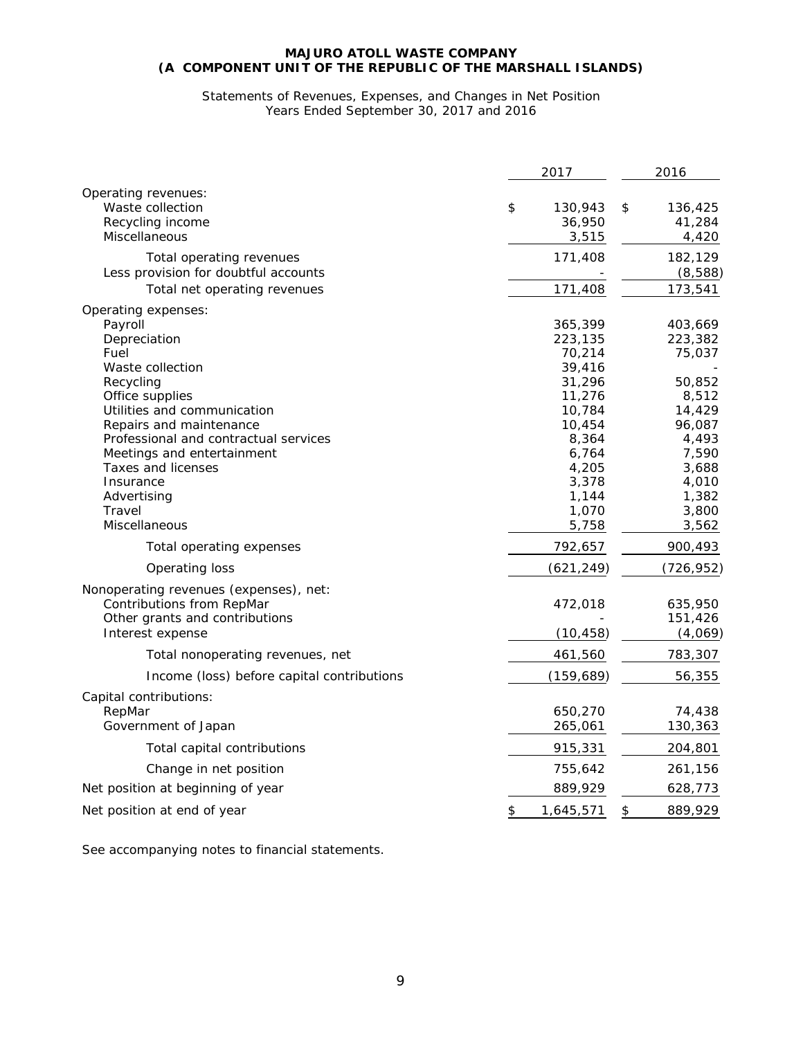## Statements of Revenues, Expenses, and Changes in Net Position Years Ended September 30, 2017 and 2016

| 2017                                                                                                                                          |                                                        | 2016                                                                                                                               |
|-----------------------------------------------------------------------------------------------------------------------------------------------|--------------------------------------------------------|------------------------------------------------------------------------------------------------------------------------------------|
| \$<br>130,943<br>36,950<br>3,515                                                                                                              | \$                                                     | 136,425<br>41,284<br>4,420                                                                                                         |
| 171,408                                                                                                                                       |                                                        | 182,129<br>(8,588)<br>173,541                                                                                                      |
|                                                                                                                                               |                                                        |                                                                                                                                    |
| 365,399<br>223,135<br>70,214<br>39,416<br>31,296<br>11,276<br>10,784<br>10,454<br>8,364<br>6,764<br>4,205<br>3,378<br>1,144<br>1,070<br>5,758 |                                                        | 403,669<br>223,382<br>75,037<br>50,852<br>8,512<br>14,429<br>96,087<br>4,493<br>7,590<br>3,688<br>4,010<br>1,382<br>3,800<br>3,562 |
|                                                                                                                                               |                                                        | 900,493                                                                                                                            |
|                                                                                                                                               |                                                        | (726, 952)                                                                                                                         |
| 472,018<br>(10, 458)                                                                                                                          |                                                        | 635,950<br>151,426<br>(4,069)                                                                                                      |
| 461,560                                                                                                                                       |                                                        | 783,307                                                                                                                            |
| (159, 689)                                                                                                                                    |                                                        | 56,355                                                                                                                             |
| 650,270<br>265,061<br>915,331                                                                                                                 |                                                        | 74,438<br>130,363<br>204,801<br>261,156                                                                                            |
|                                                                                                                                               |                                                        | 628,773                                                                                                                            |
| \$<br>1,645,571                                                                                                                               | \$                                                     | 889,929                                                                                                                            |
|                                                                                                                                               | 171,408<br>792,657<br>(621, 249)<br>755,642<br>889,929 |                                                                                                                                    |

See accompanying notes to financial statements.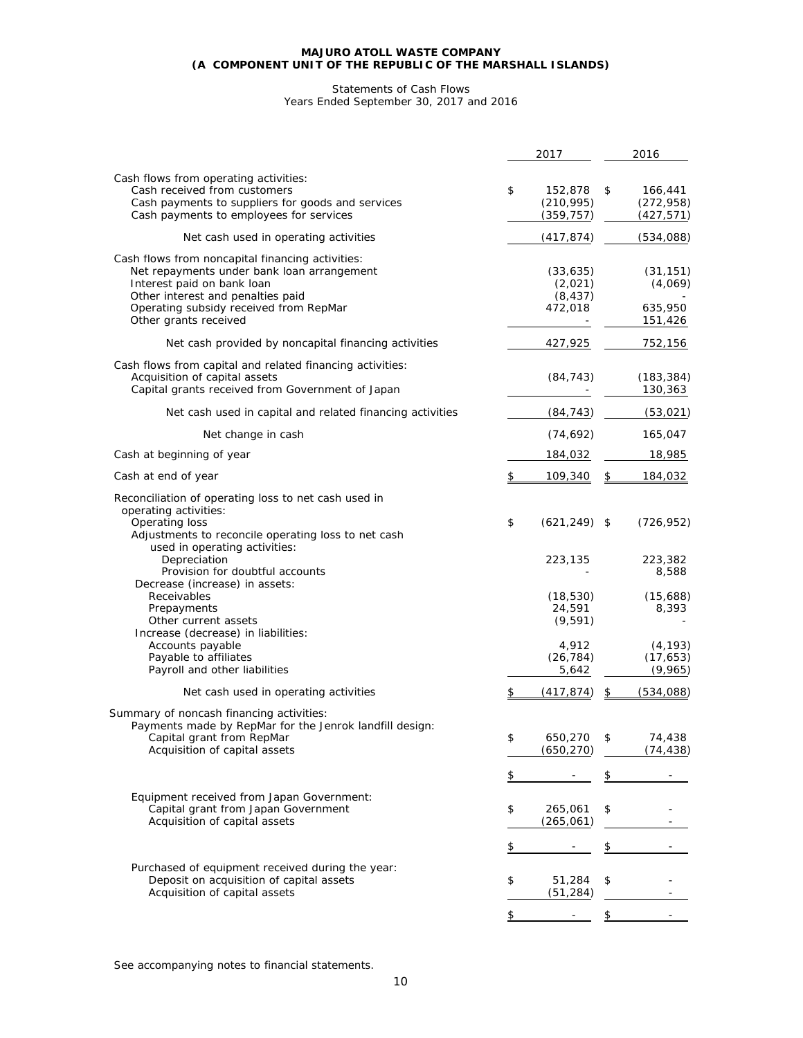#### Statements of Cash Flows Years Ended September 30, 2017 and 2016

|                                                                                                                                                                                                                                      | 2017                                                |                | 2016                                              |
|--------------------------------------------------------------------------------------------------------------------------------------------------------------------------------------------------------------------------------------|-----------------------------------------------------|----------------|---------------------------------------------------|
| Cash flows from operating activities:<br>Cash received from customers<br>Cash payments to suppliers for goods and services<br>Cash payments to employees for services                                                                | \$<br>152,878<br>(210, 995)<br>(359, 757)           | \$             | 166,441<br>(272, 958)<br>(427, 571)               |
| Net cash used in operating activities                                                                                                                                                                                                | (417, 874)                                          |                | (534,088)                                         |
| Cash flows from noncapital financing activities:<br>Net repayments under bank loan arrangement<br>Interest paid on bank loan<br>Other interest and penalties paid<br>Operating subsidy received from RepMar<br>Other grants received | (33, 635)<br>(2,021)<br>(8, 437)<br>472,018         |                | (31, 151)<br>(4,069)<br>635,950<br>151,426        |
| Net cash provided by noncapital financing activities                                                                                                                                                                                 | 427,925                                             |                | 752,156                                           |
| Cash flows from capital and related financing activities:<br>Acquisition of capital assets<br>Capital grants received from Government of Japan                                                                                       | (84, 743)                                           |                | (183, 384)<br>130,363                             |
| Net cash used in capital and related financing activities                                                                                                                                                                            | (84, 743)                                           |                | (53, 021)                                         |
| Net change in cash                                                                                                                                                                                                                   | (74, 692)                                           |                | 165,047                                           |
| Cash at beginning of year                                                                                                                                                                                                            | 184,032                                             |                | 18,985                                            |
| Cash at end of year                                                                                                                                                                                                                  | \$<br>109,340                                       | \$             | 184,032                                           |
| Reconciliation of operating loss to net cash used in<br>operating activities:<br>Operating loss<br>Adjustments to reconcile operating loss to net cash<br>used in operating activities:                                              | \$<br>$(621, 249)$ \$                               |                | (726,952)                                         |
| Depreciation<br>Provision for doubtful accounts<br>Decrease (increase) in assets:<br>Receivables<br>Prepayments<br>Other current assets<br>Increase (decrease) in liabilities:<br>Accounts payable                                   | 223,135<br>(18, 530)<br>24,591<br>(9, 591)<br>4,912 |                | 223,382<br>8,588<br>(15,688)<br>8,393<br>(4, 193) |
| Payable to affiliates<br>Payroll and other liabilities                                                                                                                                                                               | (26, 784)<br>5,642                                  |                | (17, 653)<br>(9,965)                              |
| Net cash used in operating activities                                                                                                                                                                                                | \$<br>(417, 874)                                    | \$             | (534,088)                                         |
| Summary of noncash financing activities:<br>Payments made by RepMar for the Jenrok landfill design:<br>Capital grant from RepMar<br>Acquisition of capital assets                                                                    | \$<br>650,270<br>(650, 270)                         |                | 74,438<br>(74, 438)                               |
|                                                                                                                                                                                                                                      | \$                                                  | $\overline{v}$ |                                                   |
| Equipment received from Japan Government:<br>Capital grant from Japan Government<br>Acquisition of capital assets                                                                                                                    | \$<br>265,061<br>(265, 061)                         | \$             |                                                   |
|                                                                                                                                                                                                                                      | \$                                                  | \$             |                                                   |
| Purchased of equipment received during the year:<br>Deposit on acquisition of capital assets<br>Acquisition of capital assets                                                                                                        | \$<br>51,284<br>(51, 284)                           | \$             |                                                   |
|                                                                                                                                                                                                                                      | \$                                                  | \$             |                                                   |

See accompanying notes to financial statements.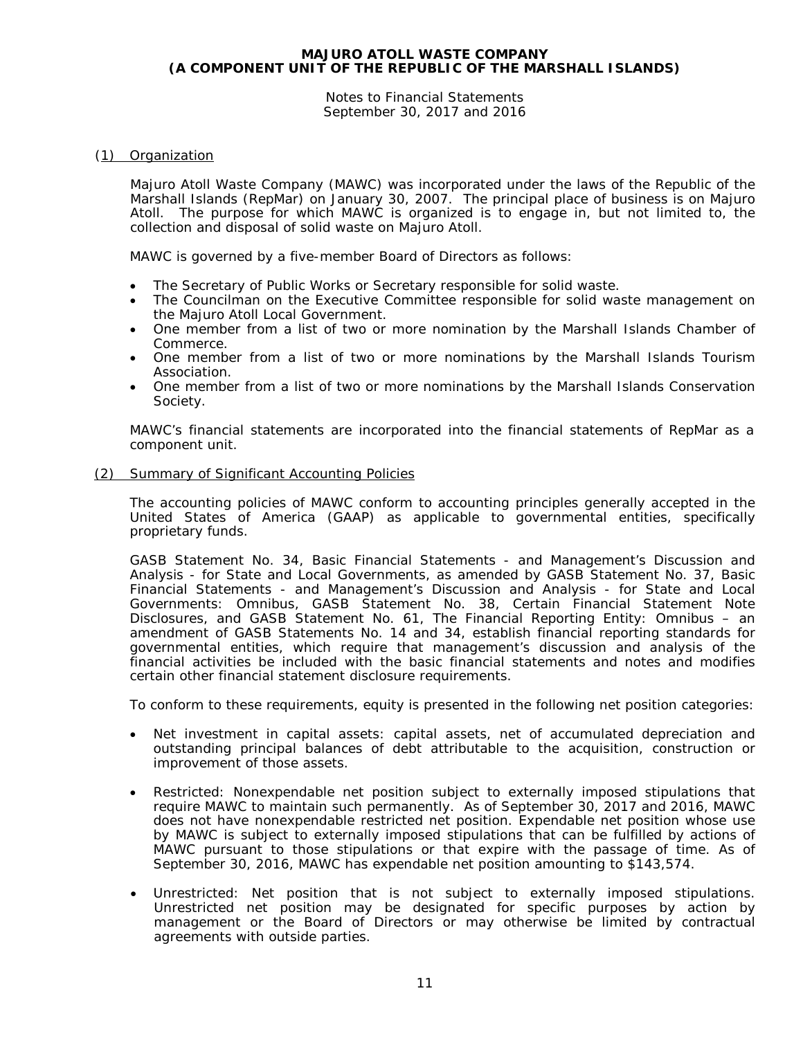Notes to Financial Statements September 30, 2017 and 2016

## (1) Organization

Majuro Atoll Waste Company (MAWC) was incorporated under the laws of the Republic of the Marshall Islands (RepMar) on January 30, 2007. The principal place of business is on Majuro Atoll. The purpose for which MAWC is organized is to engage in, but not limited to, the collection and disposal of solid waste on Majuro Atoll.

MAWC is governed by a five-member Board of Directors as follows:

- The Secretary of Public Works or Secretary responsible for solid waste.
- The Councilman on the Executive Committee responsible for solid waste management on the Majuro Atoll Local Government.
- One member from a list of two or more nomination by the Marshall Islands Chamber of Commerce.
- One member from a list of two or more nominations by the Marshall Islands Tourism Association.
- One member from a list of two or more nominations by the Marshall Islands Conservation Society.

MAWC's financial statements are incorporated into the financial statements of RepMar as a component unit.

### (2) Summary of Significant Accounting Policies

The accounting policies of MAWC conform to accounting principles generally accepted in the United States of America (GAAP) as applicable to governmental entities, specifically proprietary funds.

GASB Statement No. 34, *Basic Financial Statements - and Management's Discussion and Analysis - for State and Local Governments*, as amended by GASB Statement No. 37, *Basic Financial Statements - and Management's Discussion and Analysis - for State and Local Governments: Omnibus*, GASB Statement No. 38, *Certain Financial Statement Note Disclosures*, and GASB Statement No. 61, *The Financial Reporting Entity: Omnibus – an amendment of GASB Statements No. 14 and 34,* establish financial reporting standards for governmental entities, which require that management's discussion and analysis of the financial activities be included with the basic financial statements and notes and modifies certain other financial statement disclosure requirements.

To conform to these requirements, equity is presented in the following net position categories:

- Net investment in capital assets: capital assets, net of accumulated depreciation and outstanding principal balances of debt attributable to the acquisition, construction or improvement of those assets.
- Restricted: Nonexpendable net position subject to externally imposed stipulations that require MAWC to maintain such permanently. As of September 30, 2017 and 2016, MAWC does not have nonexpendable restricted net position. Expendable net position whose use by MAWC is subject to externally imposed stipulations that can be fulfilled by actions of MAWC pursuant to those stipulations or that expire with the passage of time. As of September 30, 2016, MAWC has expendable net position amounting to \$143,574.
- Unrestricted: Net position that is not subject to externally imposed stipulations. Unrestricted net position may be designated for specific purposes by action by management or the Board of Directors or may otherwise be limited by contractual agreements with outside parties.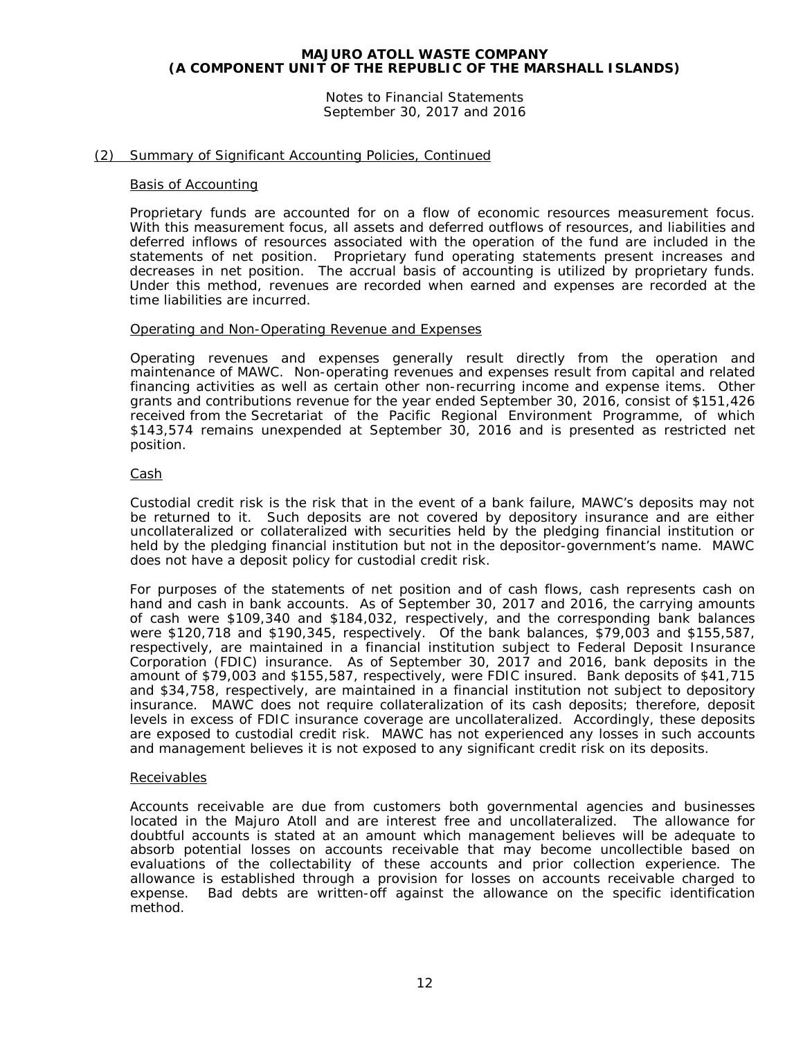Notes to Financial Statements September 30, 2017 and 2016

#### (2) Summary of Significant Accounting Policies, Continued

#### Basis of Accounting

Proprietary funds are accounted for on a flow of economic resources measurement focus. With this measurement focus, all assets and deferred outflows of resources, and liabilities and deferred inflows of resources associated with the operation of the fund are included in the statements of net position. Proprietary fund operating statements present increases and decreases in net position. The accrual basis of accounting is utilized by proprietary funds. Under this method, revenues are recorded when earned and expenses are recorded at the time liabilities are incurred.

#### Operating and Non-Operating Revenue and Expenses

Operating revenues and expenses generally result directly from the operation and maintenance of MAWC. Non-operating revenues and expenses result from capital and related financing activities as well as certain other non-recurring income and expense items. Other grants and contributions revenue for the year ended September 30, 2016, consist of \$151,426 received from the Secretariat of the Pacific Regional Environment Programme, of which \$143,574 remains unexpended at September 30, 2016 and is presented as restricted net position.

#### Cash

Custodial credit risk is the risk that in the event of a bank failure, MAWC's deposits may not be returned to it. Such deposits are not covered by depository insurance and are either uncollateralized or collateralized with securities held by the pledging financial institution or held by the pledging financial institution but not in the depositor-government's name. MAWC does not have a deposit policy for custodial credit risk.

For purposes of the statements of net position and of cash flows, cash represents cash on hand and cash in bank accounts. As of September 30, 2017 and 2016, the carrying amounts of cash were \$109,340 and \$184,032, respectively, and the corresponding bank balances were \$120,718 and \$190,345, respectively. Of the bank balances, \$79,003 and \$155,587, respectively, are maintained in a financial institution subject to Federal Deposit Insurance Corporation (FDIC) insurance. As of September 30, 2017 and 2016, bank deposits in the amount of \$79,003 and \$155,587, respectively, were FDIC insured. Bank deposits of \$41,715 and \$34,758, respectively, are maintained in a financial institution not subject to depository insurance. MAWC does not require collateralization of its cash deposits; therefore, deposit levels in excess of FDIC insurance coverage are uncollateralized. Accordingly, these deposits are exposed to custodial credit risk. MAWC has not experienced any losses in such accounts and management believes it is not exposed to any significant credit risk on its deposits.

#### Receivables

Accounts receivable are due from customers both governmental agencies and businesses located in the Majuro Atoll and are interest free and uncollateralized. The allowance for doubtful accounts is stated at an amount which management believes will be adequate to absorb potential losses on accounts receivable that may become uncollectible based on evaluations of the collectability of these accounts and prior collection experience. The allowance is established through a provision for losses on accounts receivable charged to expense. Bad debts are written-off against the allowance on the specific identification method.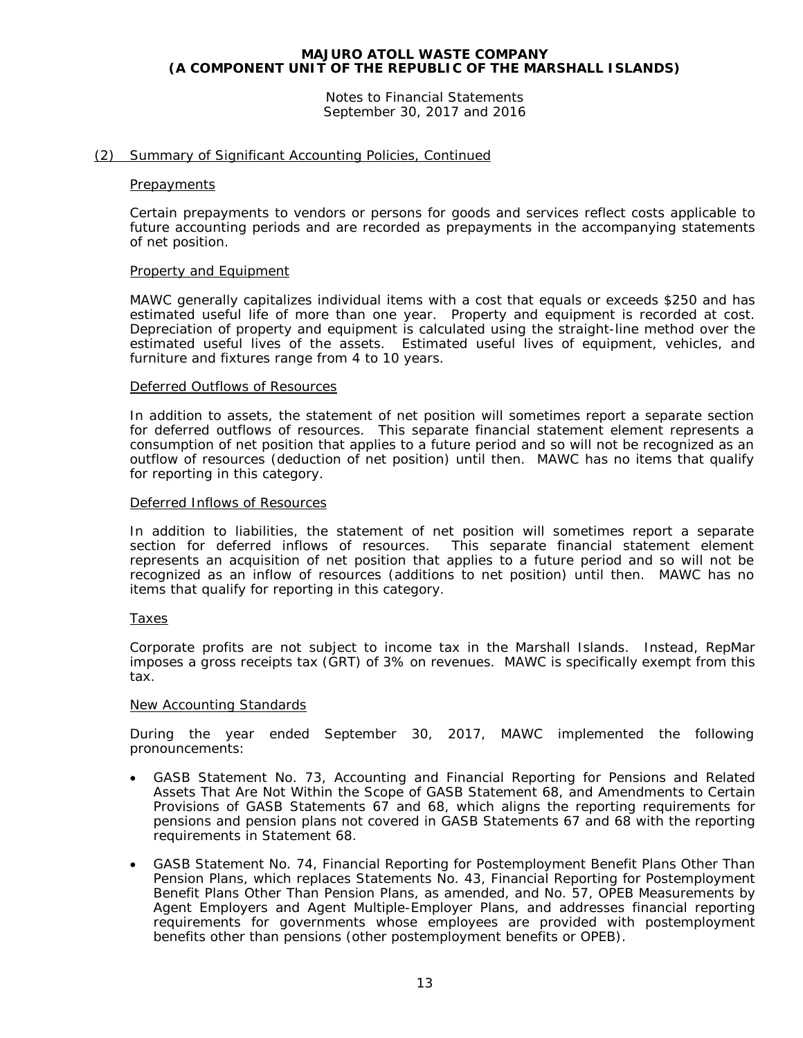Notes to Financial Statements September 30, 2017 and 2016

#### (2) Summary of Significant Accounting Policies, Continued

#### **Prepayments**

Certain prepayments to vendors or persons for goods and services reflect costs applicable to future accounting periods and are recorded as prepayments in the accompanying statements of net position.

#### Property and Equipment

MAWC generally capitalizes individual items with a cost that equals or exceeds \$250 and has estimated useful life of more than one year. Property and equipment is recorded at cost. Depreciation of property and equipment is calculated using the straight-line method over the estimated useful lives of the assets. Estimated useful lives of equipment, vehicles, and furniture and fixtures range from 4 to 10 years.

#### Deferred Outflows of Resources

In addition to assets, the statement of net position will sometimes report a separate section for deferred outflows of resources. This separate financial statement element represents a consumption of net position that applies to a future period and so will not be recognized as an outflow of resources (deduction of net position) until then. MAWC has no items that qualify for reporting in this category.

#### Deferred Inflows of Resources

In addition to liabilities, the statement of net position will sometimes report a separate section for deferred inflows of resources. This separate financial statement element represents an acquisition of net position that applies to a future period and so will not be recognized as an inflow of resources (additions to net position) until then. MAWC has no items that qualify for reporting in this category.

### Taxes

Corporate profits are not subject to income tax in the Marshall Islands. Instead, RepMar imposes a gross receipts tax (GRT) of 3% on revenues. MAWC is specifically exempt from this tax.

#### New Accounting Standards

During the year ended September 30, 2017, MAWC implemented the following pronouncements:

- GASB Statement No. 73, *Accounting and Financial Reporting for Pensions and Related Assets That Are Not Within the Scope of GASB Statement 68, and Amendments to Certain Provisions of GASB Statements 67 and 68*, which aligns the reporting requirements for pensions and pension plans not covered in GASB Statements 67 and 68 with the reporting requirements in Statement 68.
- GASB Statement No. 74, *Financial Reporting for Postemployment Benefit Plans Other Than Pension Plans*, which replaces Statements No. 43, *Financial Reporting for Postemployment Benefit Plans Other Than Pension Plans,* as amended, and No. 57, *OPEB Measurements by Agent Employers and Agent Multiple-Employer Plans*, and addresses financial reporting requirements for governments whose employees are provided with postemployment benefits other than pensions (other postemployment benefits or OPEB).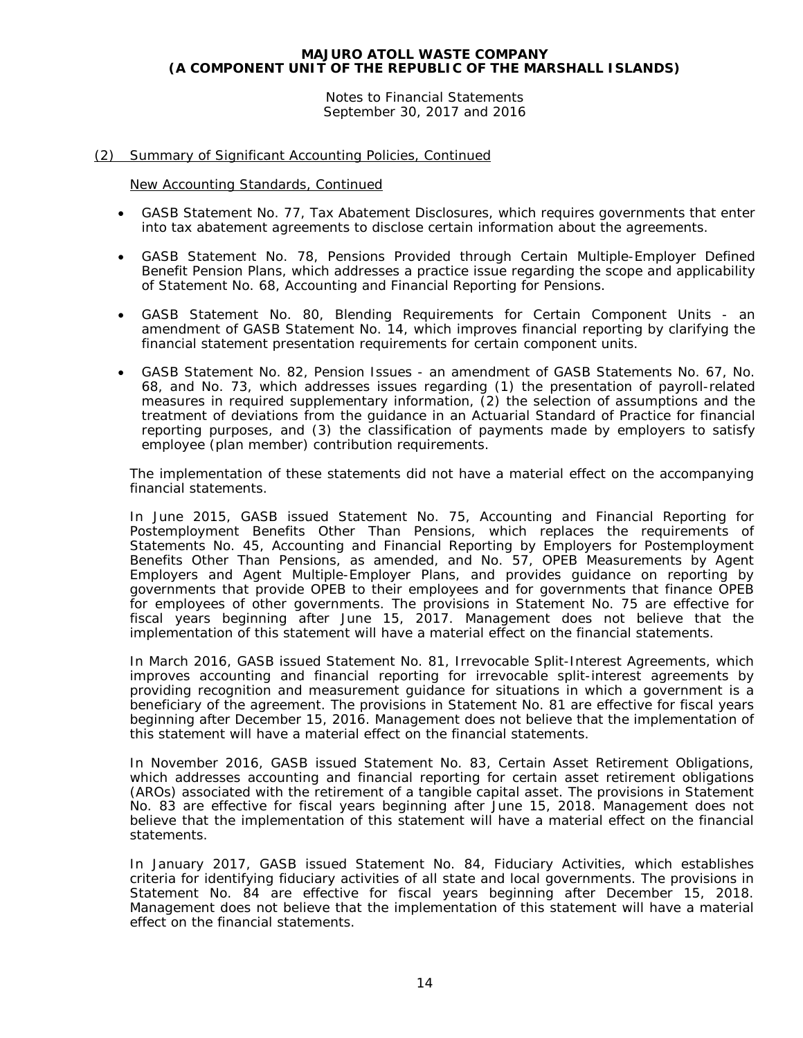Notes to Financial Statements September 30, 2017 and 2016

### (2) Summary of Significant Accounting Policies, Continued

New Accounting Standards, Continued

- GASB Statement No. 77, *Tax Abatement Disclosures*, which requires governments that enter into tax abatement agreements to disclose certain information about the agreements.
- GASB Statement No. 78, *Pensions Provided through Certain Multiple-Employer Defined Benefit Pension Plans*, which addresses a practice issue regarding the scope and applicability of Statement No. 68, *Accounting and Financial Reporting for Pensions*.
- GASB Statement No. 80, *Blending Requirements for Certain Component Units - an amendment of GASB Statement No. 14*, which improves financial reporting by clarifying the financial statement presentation requirements for certain component units.
- GASB Statement No. 82, *Pension Issues - an amendment of GASB Statements No. 67, No. 68, and No. 73*, which addresses issues regarding (1) the presentation of payroll-related measures in required supplementary information, (2) the selection of assumptions and the treatment of deviations from the guidance in an Actuarial Standard of Practice for financial reporting purposes, and (3) the classification of payments made by employers to satisfy employee (plan member) contribution requirements.

The implementation of these statements did not have a material effect on the accompanying financial statements.

In June 2015, GASB issued Statement No. 75, *Accounting and Financial Reporting for Postemployment Benefits Other Than Pensions*, which replaces the requirements of Statements No. 45, *Accounting and Financial Reporting by Employers for Postemployment Benefits Other Than Pensions*, as amended, and No. 57, *OPEB Measurements by Agent Employers and Agent Multiple-Employer Plans*, and provides guidance on reporting by governments that provide OPEB to their employees and for governments that finance OPEB for employees of other governments. The provisions in Statement No. 75 are effective for fiscal years beginning after June 15, 2017. Management does not believe that the implementation of this statement will have a material effect on the financial statements.

In March 2016, GASB issued Statement No. 81, *Irrevocable Split-Interest Agreements,* which improves accounting and financial reporting for irrevocable split-interest agreements by providing recognition and measurement guidance for situations in which a government is a beneficiary of the agreement. The provisions in Statement No. 81 are effective for fiscal years beginning after December 15, 2016. Management does not believe that the implementation of this statement will have a material effect on the financial statements.

In November 2016, GASB issued Statement No. 83, *Certain Asset Retirement Obligations*, which addresses accounting and financial reporting for certain asset retirement obligations (AROs) associated with the retirement of a tangible capital asset. The provisions in Statement No. 83 are effective for fiscal years beginning after June 15, 2018. Management does not believe that the implementation of this statement will have a material effect on the financial statements.

In January 2017, GASB issued Statement No. 84, *Fiduciary Activities*, which establishes criteria for identifying fiduciary activities of all state and local governments. The provisions in Statement No. 84 are effective for fiscal years beginning after December 15, 2018. Management does not believe that the implementation of this statement will have a material effect on the financial statements.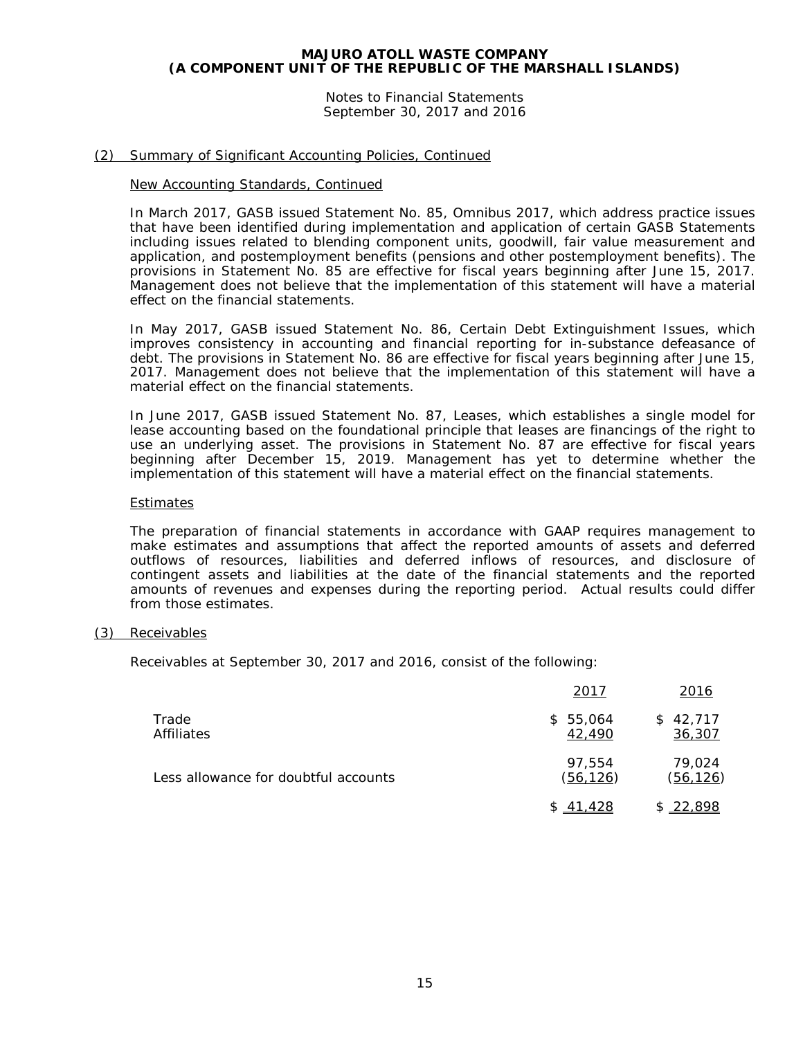Notes to Financial Statements September 30, 2017 and 2016

### (2) Summary of Significant Accounting Policies, Continued

#### New Accounting Standards, Continued

In March 2017, GASB issued Statement No. 85, *Omnibus 2017*, which address practice issues that have been identified during implementation and application of certain GASB Statements including issues related to blending component units, goodwill, fair value measurement and application, and postemployment benefits (pensions and other postemployment benefits). The provisions in Statement No. 85 are effective for fiscal years beginning after June 15, 2017. Management does not believe that the implementation of this statement will have a material effect on the financial statements.

In May 2017, GASB issued Statement No. 86, *Certain Debt Extinguishment Issues*, which improves consistency in accounting and financial reporting for in-substance defeasance of debt. The provisions in Statement No. 86 are effective for fiscal years beginning after June 15, 2017. Management does not believe that the implementation of this statement will have a material effect on the financial statements.

In June 2017, GASB issued Statement No. 87, *Leases*, which establishes a single model for lease accounting based on the foundational principle that leases are financings of the right to use an underlying asset. The provisions in Statement No. 87 are effective for fiscal years beginning after December 15, 2019. Management has yet to determine whether the implementation of this statement will have a material effect on the financial statements.

#### Estimates

The preparation of financial statements in accordance with GAAP requires management to make estimates and assumptions that affect the reported amounts of assets and deferred outflows of resources, liabilities and deferred inflows of resources, and disclosure of contingent assets and liabilities at the date of the financial statements and the reported amounts of revenues and expenses during the reporting period. Actual results could differ from those estimates.

### (3) Receivables

Receivables at September 30, 2017 and 2016, consist of the following:

|                                      | 2017                | 2016               |
|--------------------------------------|---------------------|--------------------|
| Trade<br>Affiliates                  | \$55,064<br>42,490  | \$42,717<br>36,307 |
| Less allowance for doubtful accounts | 97.554<br>(56, 126) | 79,024<br>(56,126) |
|                                      | 1.428               | 22.898             |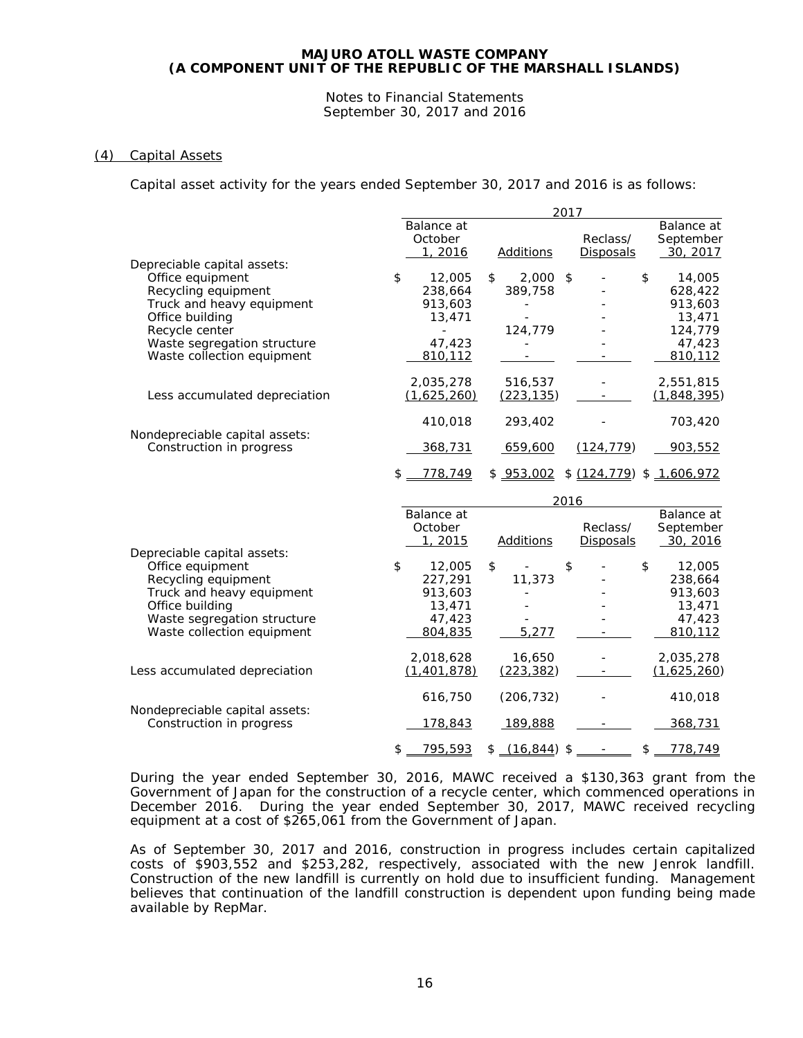Notes to Financial Statements September 30, 2017 and 2016

#### (4) Capital Assets

Capital asset activity for the years ended September 30, 2017 and 2016 is as follows:

|                                                                                                                                                                                     |                                                                   |                                     | 2017                         |                                                                   |
|-------------------------------------------------------------------------------------------------------------------------------------------------------------------------------------|-------------------------------------------------------------------|-------------------------------------|------------------------------|-------------------------------------------------------------------|
| Depreciable capital assets:                                                                                                                                                         | Balance at<br>October<br>1, 2016                                  | <b>Additions</b>                    | Reclass/<br><b>Disposals</b> | Balance at<br>September<br>30, 2017                               |
| Office equipment<br>Recycling equipment<br>Truck and heavy equipment<br>Office building                                                                                             | \$<br>12,005<br>238,664<br>913,603<br>13,471                      | 2,000<br>\$<br>389,758              | \$                           | 14,005<br>\$<br>628,422<br>913,603<br>13,471                      |
| Recycle center<br>Waste segregation structure<br>Waste collection equipment                                                                                                         | $\sim$<br>47,423<br>810,112                                       | 124,779<br>$\overline{\phantom{a}}$ |                              | 124,779<br>47,423<br>810,112                                      |
| Less accumulated depreciation                                                                                                                                                       | 2,035,278<br>(1,625,260)                                          | 516,537<br>(223, 135)               | $\blacksquare$               | 2,551,815<br>(1,848,395)                                          |
| Nondepreciable capital assets:                                                                                                                                                      | 410,018                                                           | 293,402                             |                              | 703,420                                                           |
| Construction in progress                                                                                                                                                            | 368,731                                                           | 659,600                             | (124, 779)                   | 903,552                                                           |
|                                                                                                                                                                                     | 778,749<br>$\mathsf{\$}$                                          |                                     |                              | $$953,002$$ $$(124,779)$$ $$1,606,972$                            |
|                                                                                                                                                                                     |                                                                   |                                     | 2016                         |                                                                   |
|                                                                                                                                                                                     | Balance at                                                        |                                     |                              | Balance at                                                        |
|                                                                                                                                                                                     | October<br>1, 2015                                                | Additions                           | Reclass/<br><b>Disposals</b> | September<br>30, 2016                                             |
| Depreciable capital assets:<br>Office equipment<br>Recycling equipment<br>Truck and heavy equipment<br>Office building<br>Waste segregation structure<br>Waste collection equipment | \$<br>12,005<br>227,291<br>913,603<br>13,471<br>47,423<br>804,835 | \$<br>$\sim$<br>11,373<br>5,277     | \$                           | \$<br>12,005<br>238,664<br>913,603<br>13,471<br>47,423<br>810,112 |
| Less accumulated depreciation                                                                                                                                                       | 2,018,628<br>(1, 401, 878)                                        | 16,650<br>(223, 382)                |                              | 2,035,278<br>(1,625,260)                                          |
|                                                                                                                                                                                     | 616,750                                                           | (206, 732)                          |                              | 410,018                                                           |
| Nondepreciable capital assets:<br>Construction in progress                                                                                                                          | 178,843                                                           | 189,888                             |                              | 368,731                                                           |

During the year ended September 30, 2016, MAWC received a \$130,363 grant from the Government of Japan for the construction of a recycle center, which commenced operations in December 2016. During the year ended September 30, 2017, MAWC received recycling equipment at a cost of \$265,061 from the Government of Japan.

As of September 30, 2017 and 2016, construction in progress includes certain capitalized costs of \$903,552 and \$253,282, respectively, associated with the new Jenrok landfill. Construction of the new landfill is currently on hold due to insufficient funding. Management believes that continuation of the landfill construction is dependent upon funding being made available by RepMar.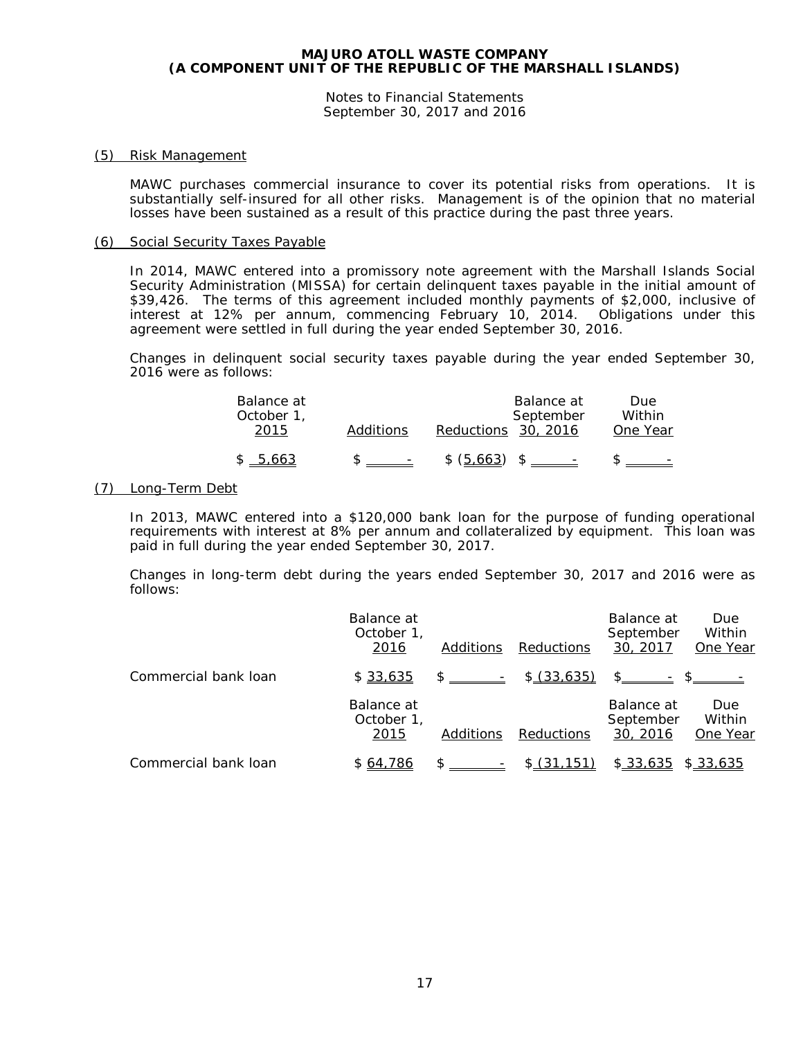Notes to Financial Statements September 30, 2017 and 2016

#### (5) Risk Management

MAWC purchases commercial insurance to cover its potential risks from operations. It is substantially self-insured for all other risks. Management is of the opinion that no material losses have been sustained as a result of this practice during the past three years.

#### (6) Social Security Taxes Payable

In 2014, MAWC entered into a promissory note agreement with the Marshall Islands Social Security Administration (MISSA) for certain delinquent taxes payable in the initial amount of \$39,426. The terms of this agreement included monthly payments of \$2,000, inclusive of interest at 12% per annum, commencing February 10, 2014. Obligations under this agreement were settled in full during the year ended September 30, 2016.

Changes in delinquent social security taxes payable during the year ended September 30, 2016 were as follows:

| Balance at<br>October 1,<br>2015 | Additions | Reductions 30, 2016 | Balance at<br>September | Due<br>Within<br>One Year |
|----------------------------------|-----------|---------------------|-------------------------|---------------------------|
| \$5.663                          | $S -$     | \$ (5.663)          | $\frac{1}{2}$           |                           |

#### (7) Long-Term Debt

In 2013, MAWC entered into a \$120,000 bank loan for the purpose of funding operational requirements with interest at 8% per annum and collateralized by equipment. This loan was paid in full during the year ended September 30, 2017.

Changes in long-term debt during the years ended September 30, 2017 and 2016 were as follows:

|                      | Balance at<br>October 1,<br>2016 | Additions      | <b>Reductions</b> | Balance at<br>September<br>30, 2017 | Due<br>Within<br>One Year |
|----------------------|----------------------------------|----------------|-------------------|-------------------------------------|---------------------------|
| Commercial bank loan | \$33,635                         | $\mathbb{S}$ - | \$(33,635)        | $\text{\$}$ - \$ -                  |                           |
|                      | Balance at<br>October 1,<br>2015 | Additions      | <b>Reductions</b> | Balance at<br>September<br>30, 2016 | Due<br>Within<br>One Year |
| Commercial bank loan | \$64,786                         |                | \$(31, 151)       | \$33,635                            | \$33,635                  |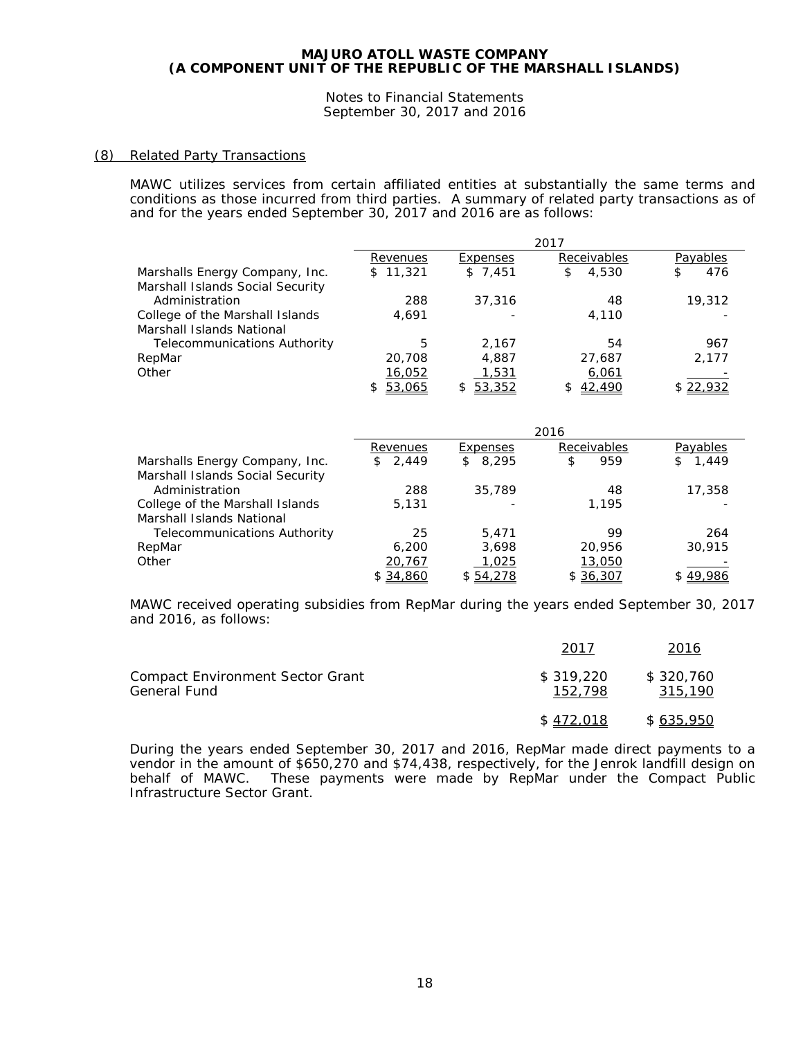#### Notes to Financial Statements September 30, 2017 and 2016

#### (8) Related Party Transactions

MAWC utilizes services from certain affiliated entities at substantially the same terms and conditions as those incurred from third parties. A summary of related party transactions as of and for the years ended September 30, 2017 and 2016 are as follows:

|                                     |              |          | 2017        |          |
|-------------------------------------|--------------|----------|-------------|----------|
|                                     | Revenues     | Expenses | Receivables | Payables |
| Marshalls Energy Company, Inc.      | \$11,321     | \$7,451  | 4,530<br>\$ | 476      |
| Marshall Islands Social Security    |              |          |             |          |
| Administration                      | 288          | 37,316   | 48          | 19,312   |
| College of the Marshall Islands     | 4.691        |          | 4,110       |          |
| Marshall Islands National           |              |          |             |          |
| <b>Telecommunications Authority</b> | 5            | 2.167    | 54          | 967      |
| RepMar                              | 20,708       | 4,887    | 27,687      | 2,177    |
| Other                               | 16,052       | 1,531    | 6,061       |          |
|                                     | 53,065<br>S. | 53,352   | 42,490<br>£ | \$22,932 |

|                                     | 2016     |             |             |             |  |
|-------------------------------------|----------|-------------|-------------|-------------|--|
|                                     | Revenues | Expenses    | Receivables | Payables    |  |
| Marshalls Energy Company, Inc.      | \$2,449  | 8,295<br>\$ | 959<br>\$   | 1,449<br>\$ |  |
| Marshall Islands Social Security    |          |             |             |             |  |
| Administration                      | 288      | 35,789      | 48          | 17,358      |  |
| College of the Marshall Islands     | 5.131    |             | 1.195       |             |  |
| Marshall Islands National           |          |             |             |             |  |
| <b>Telecommunications Authority</b> | 25       | 5.471       | 99          | 264         |  |
| RepMar                              | 6,200    | 3.698       | 20,956      | 30,915      |  |
| Other                               | 20,767   | 1,025       | 13,050      |             |  |
|                                     | \$34,860 | \$54,278    | \$36,307    | \$49,986    |  |

MAWC received operating subsidies from RepMar during the years ended September 30, 2017 and 2016, as follows:

|                                                  | 2017                 | 2016                 |
|--------------------------------------------------|----------------------|----------------------|
| Compact Environment Sector Grant<br>General Fund | \$319,220<br>152.798 | \$320.760<br>315,190 |
|                                                  | \$472.018            | \$635,950            |

During the years ended September 30, 2017 and 2016, RepMar made direct payments to a vendor in the amount of \$650,270 and \$74,438, respectively, for the Jenrok landfill design on behalf of MAWC. These payments were made by RepMar under the Compact Public These payments were made by RepMar under the Compact Public Infrastructure Sector Grant.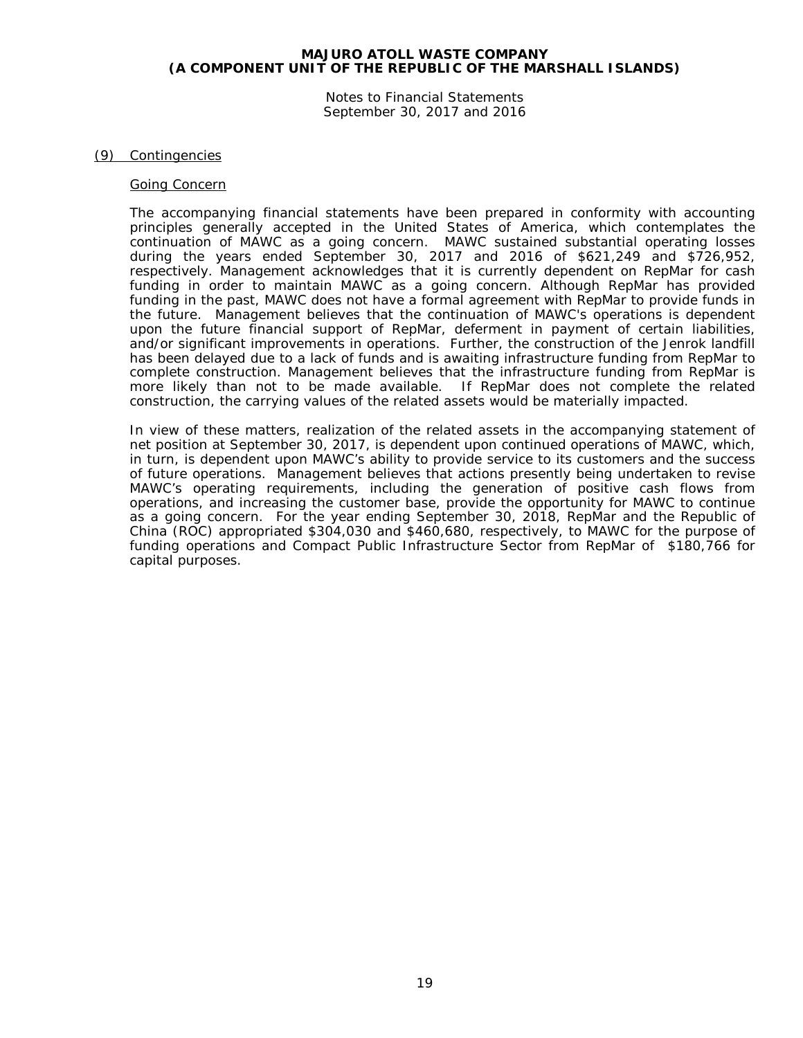Notes to Financial Statements September 30, 2017 and 2016

#### (9) Contingencies

#### Going Concern

The accompanying financial statements have been prepared in conformity with accounting principles generally accepted in the United States of America, which contemplates the continuation of MAWC as a going concern. MAWC sustained substantial operating losses during the years ended September 30, 2017 and 2016 of \$621,249 and \$726,952, respectively. Management acknowledges that it is currently dependent on RepMar for cash funding in order to maintain MAWC as a going concern. Although RepMar has provided funding in the past, MAWC does not have a formal agreement with RepMar to provide funds in the future. Management believes that the continuation of MAWC's operations is dependent upon the future financial support of RepMar, deferment in payment of certain liabilities, and/or significant improvements in operations. Further, the construction of the Jenrok landfill has been delayed due to a lack of funds and is awaiting infrastructure funding from RepMar to complete construction. Management believes that the infrastructure funding from RepMar is more likely than not to be made available. If RepMar does not complete the related construction, the carrying values of the related assets would be materially impacted.

In view of these matters, realization of the related assets in the accompanying statement of net position at September 30, 2017, is dependent upon continued operations of MAWC, which, in turn, is dependent upon MAWC's ability to provide service to its customers and the success of future operations. Management believes that actions presently being undertaken to revise MAWC's operating requirements, including the generation of positive cash flows from operations, and increasing the customer base, provide the opportunity for MAWC to continue as a going concern. For the year ending September 30, 2018, RepMar and the Republic of China (ROC) appropriated \$304,030 and \$460,680, respectively, to MAWC for the purpose of funding operations and Compact Public Infrastructure Sector from RepMar of \$180,766 for capital purposes.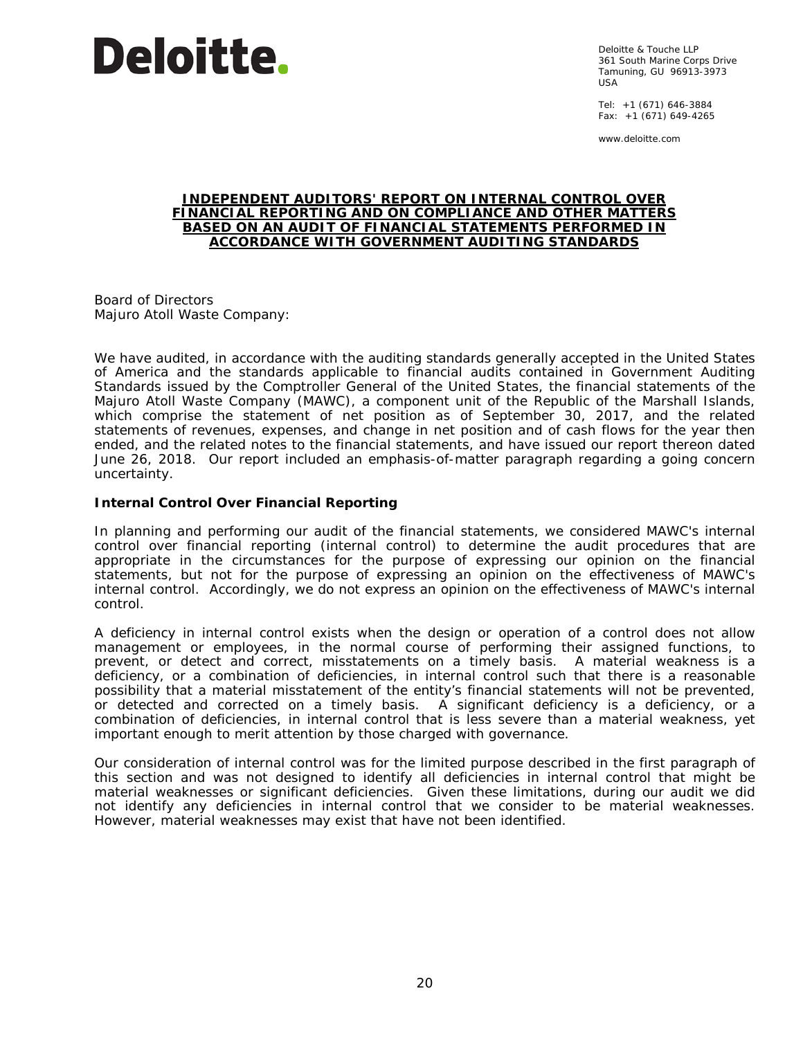

Deloitte & Touche LLP 361 South Marine Corps Drive Tamuning, GU 96913-3973 USA

Tel: +1 (671) 646-3884 Fax: +1 (671) 649-4265

www.deloitte.com

#### **INDEPENDENT AUDITORS' REPORT ON INTERNAL CONTROL OVER FINANCIAL REPORTING AND ON COMPLIANCE AND OTHER MATTERS BASED ON AN AUDIT OF FINANCIAL STATEMENTS PERFORMED IN ACCORDANCE WITH** *GOVERNMENT AUDITING STANDARDS*

Board of Directors Majuro Atoll Waste Company:

We have audited, in accordance with the auditing standards generally accepted in the United States of America and the standards applicable to financial audits contained in *Government Auditing Standards* issued by the Comptroller General of the United States, the financial statements of the Majuro Atoll Waste Company (MAWC), a component unit of the Republic of the Marshall Islands, which comprise the statement of net position as of September 30, 2017, and the related statements of revenues, expenses, and change in net position and of cash flows for the year then ended, and the related notes to the financial statements, and have issued our report thereon dated June 26, 2018. Our report included an emphasis-of-matter paragraph regarding a going concern uncertainty.

# **Internal Control Over Financial Reporting**

In planning and performing our audit of the financial statements, we considered MAWC's internal control over financial reporting (internal control) to determine the audit procedures that are appropriate in the circumstances for the purpose of expressing our opinion on the financial statements, but not for the purpose of expressing an opinion on the effectiveness of MAWC's internal control. Accordingly, we do not express an opinion on the effectiveness of MAWC's internal control.

A *deficiency in internal control* exists when the design or operation of a control does not allow management or employees, in the normal course of performing their assigned functions, to prevent, or detect and correct, misstatements on a timely basis. A *material weakness* is a deficiency, or a combination of deficiencies, in internal control such that there is a reasonable possibility that a material misstatement of the entity's financial statements will not be prevented, or detected and corrected on a timely basis. A *significant deficiency* is a deficiency, or a combination of deficiencies, in internal control that is less severe than a material weakness, yet important enough to merit attention by those charged with governance.

Our consideration of internal control was for the limited purpose described in the first paragraph of this section and was not designed to identify all deficiencies in internal control that might be material weaknesses or significant deficiencies. Given these limitations, during our audit we did not identify any deficiencies in internal control that we consider to be material weaknesses. However, material weaknesses may exist that have not been identified.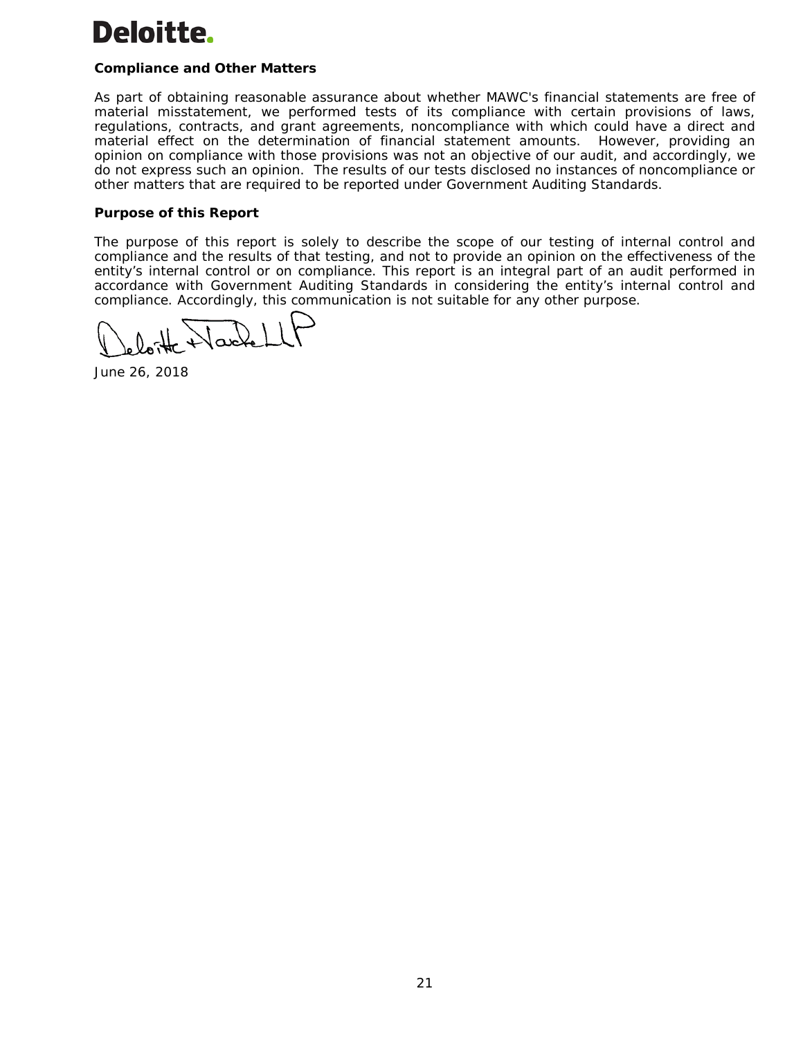# **Deloitte**

# **Compliance and Other Matters**

As part of obtaining reasonable assurance about whether MAWC's financial statements are free of material misstatement, we performed tests of its compliance with certain provisions of laws, regulations, contracts, and grant agreements, noncompliance with which could have a direct and material effect on the determination of financial statement amounts. However, providing an opinion on compliance with those provisions was not an objective of our audit, and accordingly, we do not express such an opinion. The results of our tests disclosed no instances of noncompliance or other matters that are required to be reported under *Government Auditing Standards.*

# **Purpose of this Report**

The purpose of this report is solely to describe the scope of our testing of internal control and compliance and the results of that testing, and not to provide an opinion on the effectiveness of the entity's internal control or on compliance. This report is an integral part of an audit performed in accordance with *Government Auditing Standards* in considering the entity's internal control and compliance. Accordingly, this communication is not suitable for any other purpose.

June 26, 2018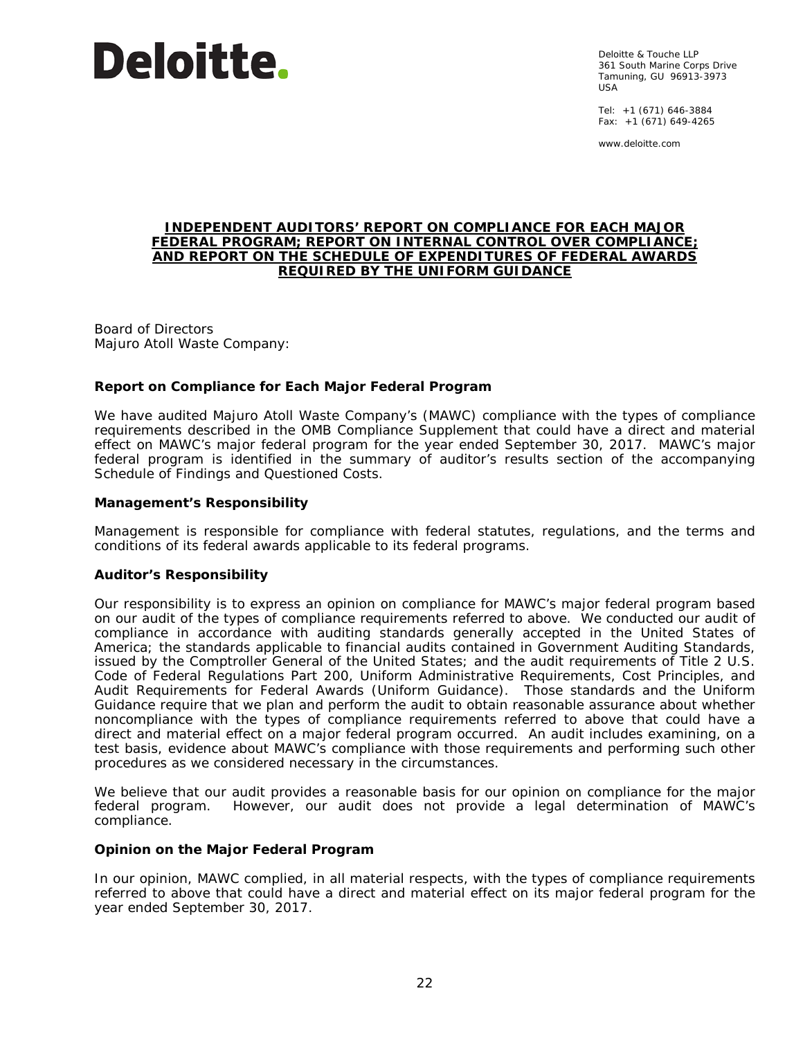

Deloitte & Touche LLP 361 South Marine Corps Drive Tamuning, GU 96913-3973 USA

Tel: +1 (671) 646-3884 Fax: +1 (671) 649-4265

www.deloitte.com

#### **INDEPENDENT AUDITORS' REPORT ON COMPLIANCE FOR EACH MAJOR FEDERAL PROGRAM; REPORT ON INTERNAL CONTROL OVER COMPLIANCE; AND REPORT ON THE SCHEDULE OF EXPENDITURES OF FEDERAL AWARDS REQUIRED BY THE UNIFORM GUIDANCE**

Board of Directors Majuro Atoll Waste Company:

# **Report on Compliance for Each Major Federal Program**

We have audited Majuro Atoll Waste Company's (MAWC) compliance with the types of compliance requirements described in the *OMB Compliance Supplement* that could have a direct and material effect on MAWC's major federal program for the year ended September 30, 2017. MAWC's major federal program is identified in the summary of auditor's results section of the accompanying Schedule of Findings and Questioned Costs.

### *Management's Responsibility*

Management is responsible for compliance with federal statutes, regulations, and the terms and conditions of its federal awards applicable to its federal programs.

### *Auditor's Responsibility*

Our responsibility is to express an opinion on compliance for MAWC's major federal program based on our audit of the types of compliance requirements referred to above. We conducted our audit of compliance in accordance with auditing standards generally accepted in the United States of America; the standards applicable to financial audits contained in *Government Auditing Standards*, issued by the Comptroller General of the United States; and the audit requirements of Title 2 U.S. *Code of Federal Regulations* Part 200, *Uniform Administrative Requirements, Cost Principles, and Audit Requirements for Federal Awards* (Uniform Guidance). Those standards and the Uniform Guidance require that we plan and perform the audit to obtain reasonable assurance about whether noncompliance with the types of compliance requirements referred to above that could have a direct and material effect on a major federal program occurred. An audit includes examining, on a test basis, evidence about MAWC's compliance with those requirements and performing such other procedures as we considered necessary in the circumstances.

We believe that our audit provides a reasonable basis for our opinion on compliance for the major federal program. However, our audit does not provide a legal determination of MAWC's compliance.

### *Opinion on the Major Federal Program*

In our opinion, MAWC complied, in all material respects, with the types of compliance requirements referred to above that could have a direct and material effect on its major federal program for the year ended September 30, 2017.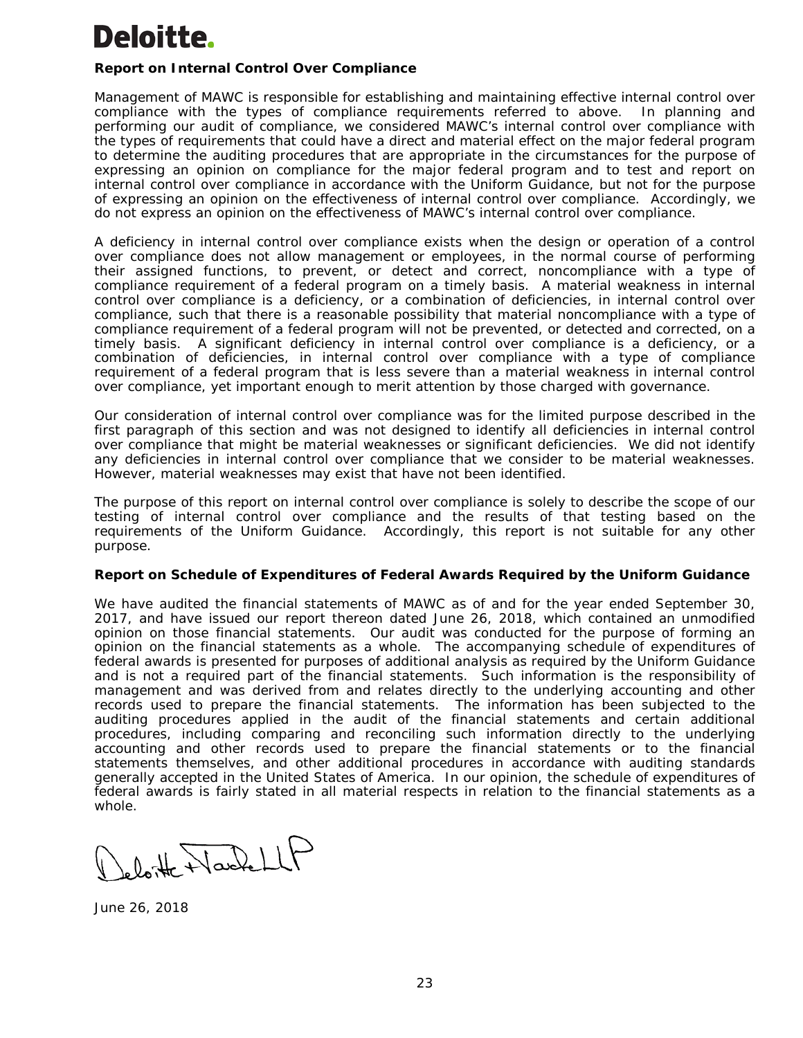# Deloitte.

# **Report on Internal Control Over Compliance**

Management of MAWC is responsible for establishing and maintaining effective internal control over compliance with the types of compliance requirements referred to above. In planning and performing our audit of compliance, we considered MAWC's internal control over compliance with the types of requirements that could have a direct and material effect on the major federal program to determine the auditing procedures that are appropriate in the circumstances for the purpose of expressing an opinion on compliance for the major federal program and to test and report on internal control over compliance in accordance with the Uniform Guidance, but not for the purpose of expressing an opinion on the effectiveness of internal control over compliance. Accordingly, we do not express an opinion on the effectiveness of MAWC's internal control over compliance.

A *deficiency in internal control over compliance* exists when the design or operation of a control over compliance does not allow management or employees, in the normal course of performing their assigned functions, to prevent, or detect and correct, noncompliance with a type of compliance requirement of a federal program on a timely basis. A *material weakness in internal control over compliance* is a deficiency, or a combination of deficiencies, in internal control over compliance, such that there is a reasonable possibility that material noncompliance with a type of compliance requirement of a federal program will not be prevented, or detected and corrected, on a timely basis. A *significant deficiency in internal control over compliance* is a deficiency, or a combination of deficiencies, in internal control over compliance with a type of compliance requirement of a federal program that is less severe than a material weakness in internal control over compliance, yet important enough to merit attention by those charged with governance.

Our consideration of internal control over compliance was for the limited purpose described in the first paragraph of this section and was not designed to identify all deficiencies in internal control over compliance that might be material weaknesses or significant deficiencies. We did not identify any deficiencies in internal control over compliance that we consider to be material weaknesses. However, material weaknesses may exist that have not been identified.

The purpose of this report on internal control over compliance is solely to describe the scope of our testing of internal control over compliance and the results of that testing based on the requirements of the Uniform Guidance. Accordingly, this report is not suitable for any other purpose.

### **Report on Schedule of Expenditures of Federal Awards Required by the Uniform Guidance**

We have audited the financial statements of MAWC as of and for the year ended September 30, 2017, and have issued our report thereon dated June 26, 2018, which contained an unmodified opinion on those financial statements. Our audit was conducted for the purpose of forming an opinion on the financial statements as a whole. The accompanying schedule of expenditures of federal awards is presented for purposes of additional analysis as required by the Uniform Guidance and is not a required part of the financial statements. Such information is the responsibility of management and was derived from and relates directly to the underlying accounting and other records used to prepare the financial statements. The information has been subjected to the auditing procedures applied in the audit of the financial statements and certain additional procedures, including comparing and reconciling such information directly to the underlying accounting and other records used to prepare the financial statements or to the financial statements themselves, and other additional procedures in accordance with auditing standards generally accepted in the United States of America. In our opinion, the schedule of expenditures of federal awards is fairly stated in all material respects in relation to the financial statements as a whole.

loite Naske Ll

June 26, 2018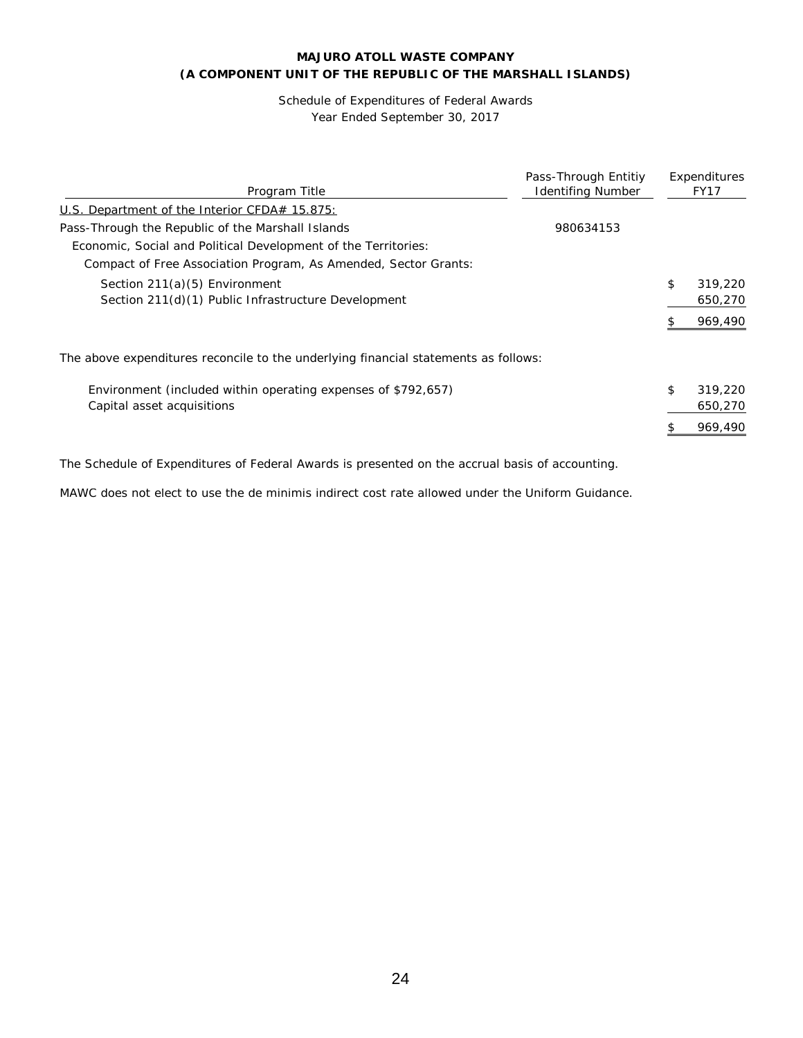Schedule of Expenditures of Federal Awards Year Ended September 30, 2017

| Program Title                                                                       | Pass-Through Entitiy<br><b>Identifing Number</b> |    | Expenditures<br><b>FY17</b> |
|-------------------------------------------------------------------------------------|--------------------------------------------------|----|-----------------------------|
| U.S. Department of the Interior CFDA# 15.875:                                       |                                                  |    |                             |
| Pass-Through the Republic of the Marshall Islands                                   | 980634153                                        |    |                             |
| Economic, Social and Political Development of the Territories:                      |                                                  |    |                             |
| Compact of Free Association Program, As Amended, Sector Grants:                     |                                                  |    |                             |
| Section $211(a)(5)$ Environment                                                     |                                                  | \$ | 319,220                     |
| Section 211(d)(1) Public Infrastructure Development                                 |                                                  |    | 650,270                     |
|                                                                                     |                                                  | æ. | 969,490                     |
| The above expenditures reconcile to the underlying financial statements as follows: |                                                  |    |                             |
| Environment (included within operating expenses of \$792,657)                       |                                                  | \$ | 319,220                     |
| Capital asset acquisitions                                                          |                                                  |    | 650,270                     |
|                                                                                     |                                                  |    | 969,490                     |

The Schedule of Expenditures of Federal Awards is presented on the accrual basis of accounting.

MAWC does not elect to use the de minimis indirect cost rate allowed under the Uniform Guidance.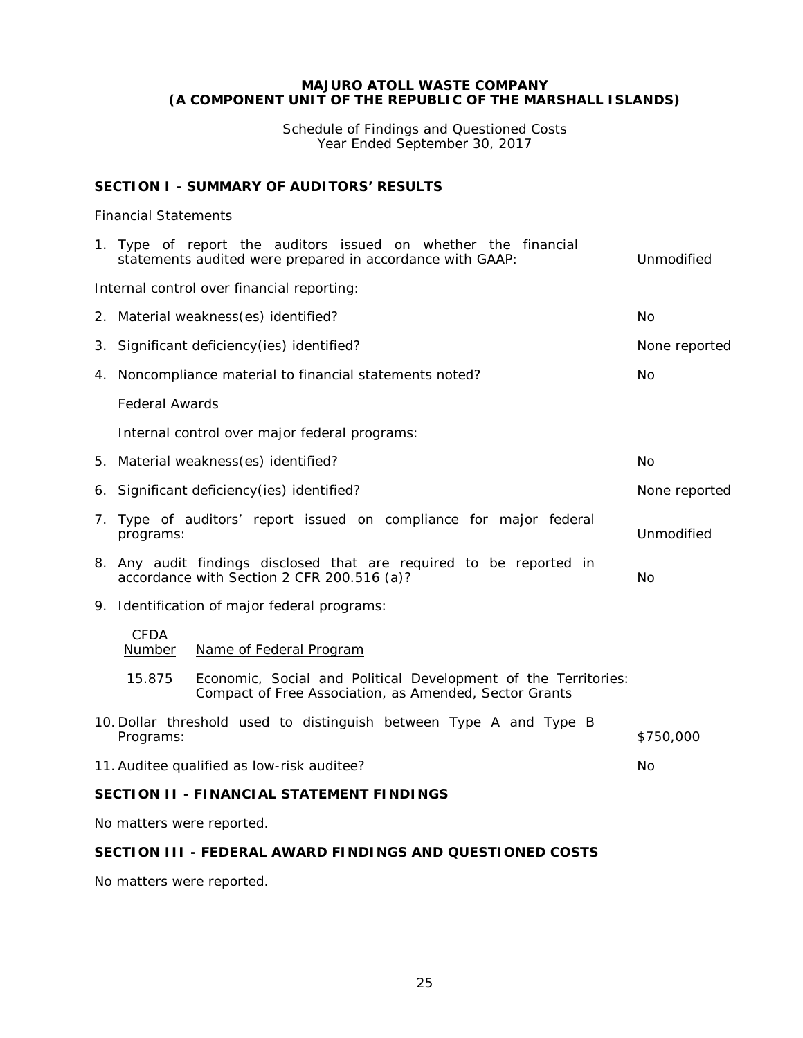Schedule of Findings and Questioned Costs Year Ended September 30, 2017

# **SECTION I - SUMMARY OF AUDITORS' RESULTS**

### *Financial Statements*

|                                                  | 1. Type of report the auditors issued on whether the financial<br>statements audited were prepared in accordance with GAAP:        | Unmodified    |  |  |
|--------------------------------------------------|------------------------------------------------------------------------------------------------------------------------------------|---------------|--|--|
| Internal control over financial reporting:       |                                                                                                                                    |               |  |  |
|                                                  | 2. Material weakness(es) identified?                                                                                               | <b>No</b>     |  |  |
| 3.                                               | Significant deficiency(ies) identified?                                                                                            | None reported |  |  |
|                                                  | 4. Noncompliance material to financial statements noted?                                                                           | No            |  |  |
|                                                  | <b>Federal Awards</b>                                                                                                              |               |  |  |
|                                                  | Internal control over major federal programs:                                                                                      |               |  |  |
|                                                  | 5. Material weakness(es) identified?                                                                                               | <b>No</b>     |  |  |
|                                                  | 6. Significant deficiency (ies) identified?                                                                                        | None reported |  |  |
|                                                  | 7. Type of auditors' report issued on compliance for major federal<br>programs:                                                    | Unmodified    |  |  |
|                                                  | 8. Any audit findings disclosed that are required to be reported in<br>accordance with Section 2 CFR 200.516 (a)?                  | <b>No</b>     |  |  |
|                                                  | 9. Identification of major federal programs:                                                                                       |               |  |  |
|                                                  | <b>CFDA</b><br><b>Number</b><br>Name of Federal Program                                                                            |               |  |  |
|                                                  | 15.875<br>Economic, Social and Political Development of the Territories:<br>Compact of Free Association, as Amended, Sector Grants |               |  |  |
|                                                  | 10. Dollar threshold used to distinguish between Type A and Type B<br>Programs:                                                    | \$750,000     |  |  |
| 11. Auditee qualified as low-risk auditee?       |                                                                                                                                    | <b>No</b>     |  |  |
| <b>SECTION II - FINANCIAL STATEMENT FINDINGS</b> |                                                                                                                                    |               |  |  |
| No matters were reported.                        |                                                                                                                                    |               |  |  |

# **SECTION III - FEDERAL AWARD FINDINGS AND QUESTIONED COSTS**

No matters were reported.